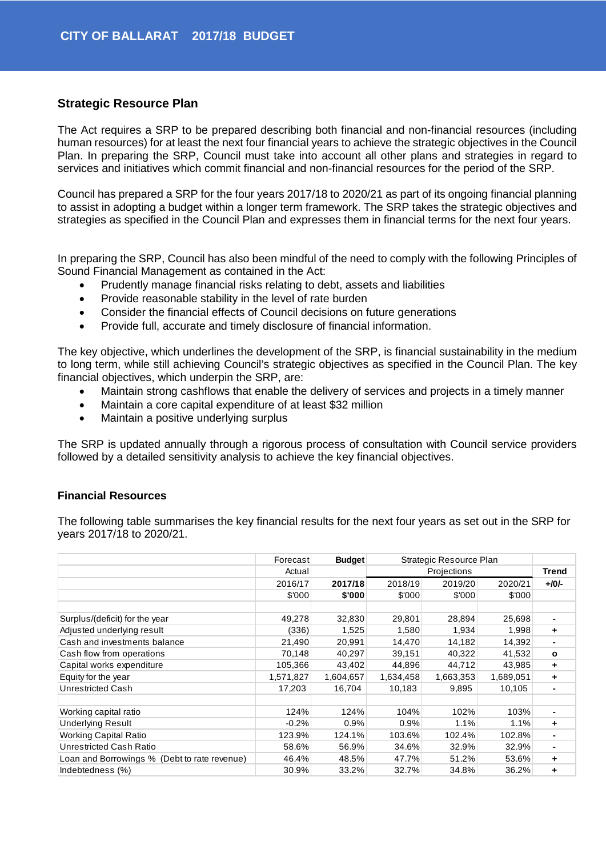## **Strategic Resource Plan**

The Act requires a SRP to be prepared describing both financial and non-financial resources (including human resources) for at least the next four financial years to achieve the strategic objectives in the Council Plan. In preparing the SRP, Council must take into account all other plans and strategies in regard to services and initiatives which commit financial and non-financial resources for the period of the SRP.

Council has prepared a SRP for the four years 2017/18 to 2020/21 as part of its ongoing financial planning to assist in adopting a budget within a longer term framework. The SRP takes the strategic objectives and strategies as specified in the Council Plan and expresses them in financial terms for the next four years.

In preparing the SRP, Council has also been mindful of the need to comply with the following Principles of Sound Financial Management as contained in the Act:

- Prudently manage financial risks relating to debt, assets and liabilities
- Provide reasonable stability in the level of rate burden
- Consider the financial effects of Council decisions on future generations
- Provide full, accurate and timely disclosure of financial information.

The key objective, which underlines the development of the SRP, is financial sustainability in the medium to long term, while still achieving Council's strategic objectives as specified in the Council Plan. The key financial objectives, which underpin the SRP, are:

- Maintain strong cashflows that enable the delivery of services and projects in a timely manner
- Maintain a core capital expenditure of at least \$32 million
- Maintain a positive underlying surplus

The SRP is updated annually through a rigorous process of consultation with Council service providers followed by a detailed sensitivity analysis to achieve the key financial objectives.

## **Financial Resources**

The following table summarises the key financial results for the next four years as set out in the SRP for years 2017/18 to 2020/21.

|                                              | Forecast  | <b>Budget</b> | Strategic Resource Plan |           |           |                |
|----------------------------------------------|-----------|---------------|-------------------------|-----------|-----------|----------------|
|                                              | Actual    |               | Projections             |           | Trend     |                |
|                                              | 2016/17   | 2017/18       | 2018/19                 | 2019/20   | 2020/21   | $+10/-$        |
|                                              | \$'000    | \$'000        | \$'000                  | \$'000    | \$'000    |                |
|                                              |           |               |                         |           |           |                |
| Surplus/(deficit) for the year               | 49,278    | 32,830        | 29,801                  | 28,894    | 25,698    |                |
| Adjusted underlying result                   | (336)     | 1,525         | 1,580                   | 1,934     | 1,998     | ٠              |
| Cash and investments balance                 | 21,490    | 20,991        | 14,470                  | 14,182    | 14,392    |                |
| Cash flow from operations                    | 70,148    | 40,297        | 39,151                  | 40,322    | 41,532    | $\mathbf{o}$   |
| Capital works expenditure                    | 105,366   | 43,402        | 44,896                  | 44,712    | 43,985    | ٠              |
| Equity for the year                          | 1,571,827 | 1,604,657     | 1,634,458               | 1,663,353 | 1,689,051 | ٠              |
| Unrestricted Cash                            | 17,203    | 16,704        | 10,183                  | 9,895     | 10,105    | $\blacksquare$ |
|                                              |           |               |                         |           |           |                |
| Working capital ratio                        | 124%      | 124%          | 104%                    | 102%      | 103%      |                |
| <b>Underlying Result</b>                     | $-0.2%$   | 0.9%          | 0.9%                    | 1.1%      | 1.1%      | ٠              |
| <b>Working Capital Ratio</b>                 | 123.9%    | 124.1%        | 103.6%                  | 102.4%    | 102.8%    | $\blacksquare$ |
| Unrestricted Cash Ratio                      | 58.6%     | 56.9%         | 34.6%                   | 32.9%     | 32.9%     | ٠              |
| Loan and Borrowings % (Debt to rate revenue) | 46.4%     | 48.5%         | 47.7%                   | 51.2%     | 53.6%     | ٠              |
| Indebtedness (%)                             | 30.9%     | 33.2%         | 32.7%                   | 34.8%     | 36.2%     | ÷              |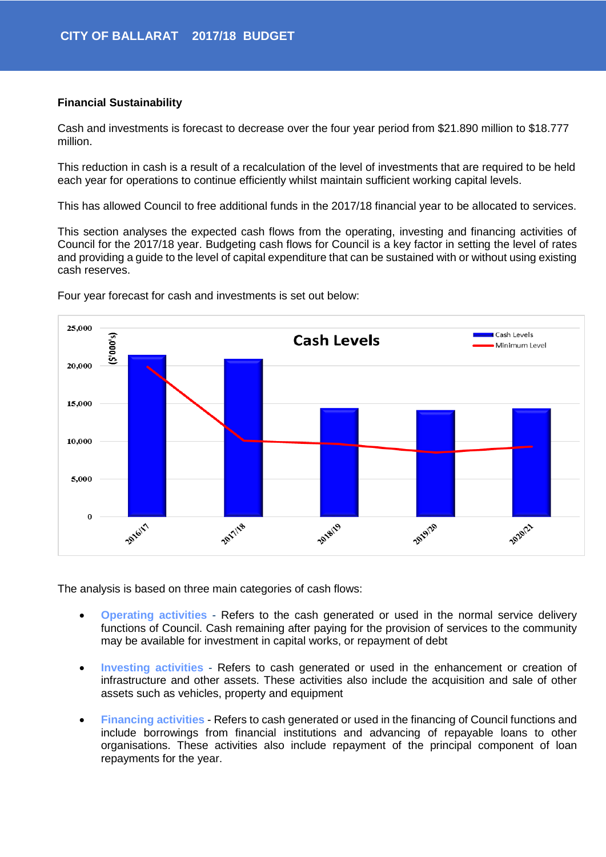## **Financial Sustainability**

Cash and investments is forecast to decrease over the four year period from \$21.890 million to \$18.777 million.

This reduction in cash is a result of a recalculation of the level of investments that are required to be held each year for operations to continue efficiently whilst maintain sufficient working capital levels.

This has allowed Council to free additional funds in the 2017/18 financial year to be allocated to services.

This section analyses the expected cash flows from the operating, investing and financing activities of Council for the 2017/18 year. Budgeting cash flows for Council is a key factor in setting the level of rates and providing a guide to the level of capital expenditure that can be sustained with or without using existing cash reserves.



Four year forecast for cash and investments is set out below:

The analysis is based on three main categories of cash flows:

- **Operating activities** Refers to the cash generated or used in the normal service delivery functions of Council. Cash remaining after paying for the provision of services to the community may be available for investment in capital works, or repayment of debt
- **Investing activities** Refers to cash generated or used in the enhancement or creation of infrastructure and other assets. These activities also include the acquisition and sale of other assets such as vehicles, property and equipment
- **Financing activities** Refers to cash generated or used in the financing of Council functions and include borrowings from financial institutions and advancing of repayable loans to other organisations. These activities also include repayment of the principal component of loan repayments for the year.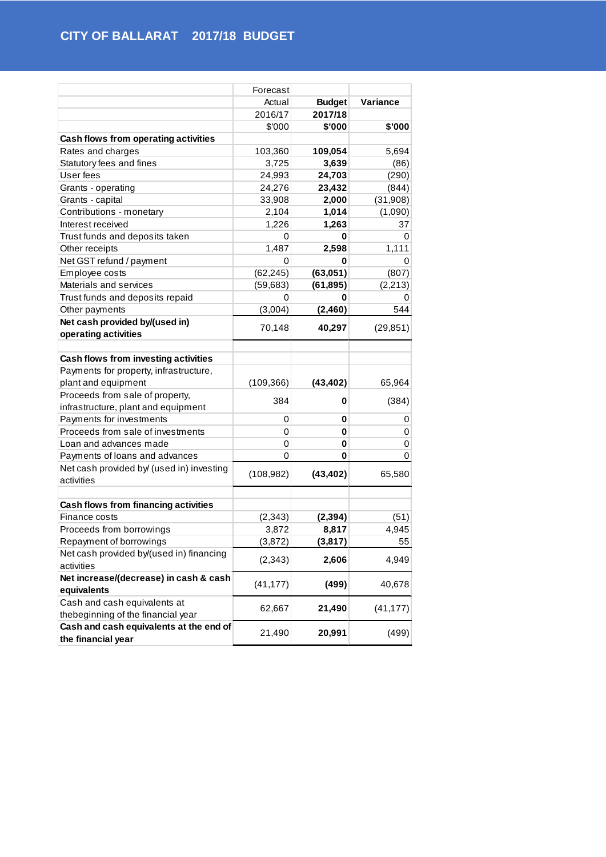|                                           | Forecast   |               |           |
|-------------------------------------------|------------|---------------|-----------|
|                                           | Actual     | <b>Budget</b> | Variance  |
|                                           | 2016/17    | 2017/18       |           |
|                                           | \$'000     | \$'000        | \$'000    |
| Cash flows from operating activities      |            |               |           |
| Rates and charges                         | 103,360    | 109,054       | 5,694     |
| Statutory fees and fines                  | 3,725      | 3,639         | (86)      |
| User fees                                 | 24,993     | 24,703        | (290)     |
| Grants - operating                        | 24,276     | 23,432        | (844)     |
| Grants - capital                          | 33,908     | 2,000         | (31,908)  |
| Contributions - monetary                  | 2,104      | 1,014         | (1,090)   |
| Interest received                         | 1,226      | 1,263         | 37        |
| Trust funds and deposits taken            | 0          | 0             | 0         |
| Other receipts                            | 1,487      | 2,598         | 1,111     |
| Net GST refund / payment                  | 0          | 0             | 0         |
| Employee costs                            | (62, 245)  | (63,051)      | (807)     |
| Materials and services                    | (59, 683)  | (61, 895)     | (2, 213)  |
| Trust funds and deposits repaid           | 0          | 0             | 0         |
| Other payments                            | (3,004)    | (2,460)       | 544       |
| Net cash provided by/(used in)            |            |               |           |
| operating activities                      | 70,148     | 40,297        | (29, 851) |
|                                           |            |               |           |
| Cash flows from investing activities      |            |               |           |
| Payments for property, infrastructure,    |            |               |           |
| plant and equipment                       | (109, 366) | (43, 402)     | 65,964    |
| Proceeds from sale of property,           | 384        | 0             | (384)     |
| infrastructure, plant and equipment       |            |               |           |
| Payments for investments                  | 0          | 0             | 0         |
| Proceeds from sale of investments         | 0          | 0             | 0         |
| Loan and advances made                    | 0          | 0             | 0         |
| Payments of loans and advances            | 0          | 0             | 0         |
| Net cash provided by/ (used in) investing | (108, 982) | (43, 402)     | 65,580    |
| activities                                |            |               |           |
|                                           |            |               |           |
| Cash flows from financing activities      |            |               |           |
| Finance costs                             | (2, 343)   | (2, 394)      | (51)      |
| Proceeds from borrowings                  | 3,872      | 8,817         | 4,945     |
| Repayment of borrowings                   | (3, 872)   | (3, 817)      | 55        |
| Net cash provided by/(used in) financing  | (2, 343)   | 2,606         | 4,949     |
| activities                                |            |               |           |
| Net increase/(decrease) in cash & cash    | (41, 177)  | (499)         | 40,678    |
| equivalents                               |            |               |           |
| Cash and cash equivalents at              | 62,667     | 21,490        | (41, 177) |
| thebeginning of the financial year        |            |               |           |
| Cash and cash equivalents at the end of   | 21,490     | 20,991        | (499)     |
| the financial year                        |            |               |           |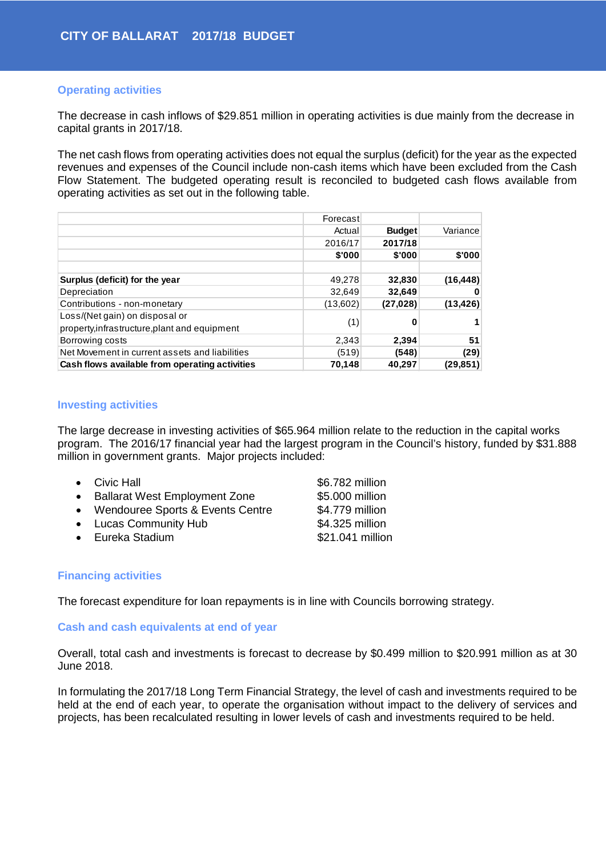## **Operating activities**

The decrease in cash inflows of \$29.851 million in operating activities is due mainly from the decrease in capital grants in 2017/18.

The net cash flows from operating activities does not equal the surplus (deficit) for the year as the expected revenues and expenses of the Council include non-cash items which have been excluded from the Cash Flow Statement. The budgeted operating result is reconciled to budgeted cash flows available from operating activities as set out in the following table.

|                                                                                 | Forecast |               |           |
|---------------------------------------------------------------------------------|----------|---------------|-----------|
|                                                                                 | Actual   | <b>Budget</b> | Variance  |
|                                                                                 | 2016/17  | 2017/18       |           |
|                                                                                 | \$'000   | \$'000        | \$'000    |
|                                                                                 |          |               |           |
| Surplus (deficit) for the year                                                  | 49,278   | 32,830        | (16, 448) |
| Depreciation                                                                    | 32,649   | 32,649        |           |
| Contributions - non-monetary                                                    | (13,602) | (27, 028)     | (13, 426) |
| Loss/(Net gain) on disposal or<br>property, infrastructure, plant and equipment | (1)      | 0             |           |
| Borrowing costs                                                                 | 2,343    | 2,394         | 51        |
| Net Movement in current assets and liabilities                                  | (519)    | (548)         | (29)      |
| Cash flows available from operating activities                                  | 70,148   | 40,297        | (29, 851) |

## **Investing activities**

The large decrease in investing activities of \$65.964 million relate to the reduction in the capital works program. The 2016/17 financial year had the largest program in the Council's history, funded by \$31.888 million in government grants. Major projects included:

| $\bullet$ Civic Hall |  | \$6.782 million |
|----------------------|--|-----------------|
|                      |  | ----            |

- Ballarat West Employment Zone \$5.000 million
- Wendouree Sports & Events Centre \$4.779 million
- Lucas Community Hub  $$4.325$  million
- Eureka Stadium but a state state state state state state state state state state state state state state state state state state state state state state state state state state state state state state state state state s

## **Financing activities**

The forecast expenditure for loan repayments is in line with Councils borrowing strategy.

## **Cash and cash equivalents at end of year**

Overall, total cash and investments is forecast to decrease by \$0.499 million to \$20.991 million as at 30 June 2018.

In formulating the 2017/18 Long Term Financial Strategy, the level of cash and investments required to be held at the end of each year, to operate the organisation without impact to the delivery of services and projects, has been recalculated resulting in lower levels of cash and investments required to be held.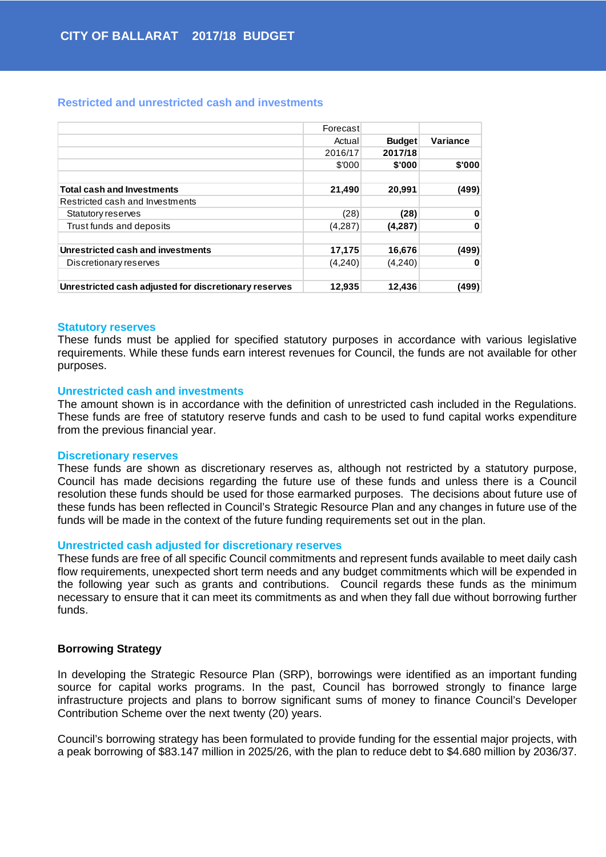#### **Restricted and unrestricted cash and investments**

|                                                       | Forecast |               |          |
|-------------------------------------------------------|----------|---------------|----------|
|                                                       | Actual   | <b>Budget</b> | Variance |
|                                                       | 2016/17  | 2017/18       |          |
|                                                       | \$'000   | \$'000        | \$'000   |
|                                                       |          |               |          |
| <b>Total cash and Investments</b>                     | 21,490   | 20,991        | (499)    |
| Restricted cash and Investments                       |          |               |          |
| Statutory reserves                                    | (28)     | (28)          | 0        |
| Trust funds and deposits                              | (4,287)  | (4,287)       | 0        |
| Unrestricted cash and investments                     | 17,175   | 16,676        | (499)    |
| Discretionary reserves                                | (4,240)  | (4,240)       | 0        |
| Unrestricted cash adjusted for discretionary reserves | 12,935   | 12,436        | (499)    |

#### **Statutory reserves**

These funds must be applied for specified statutory purposes in accordance with various legislative requirements. While these funds earn interest revenues for Council, the funds are not available for other purposes.

#### **Unrestricted cash and investments**

The amount shown is in accordance with the definition of unrestricted cash included in the Regulations. These funds are free of statutory reserve funds and cash to be used to fund capital works expenditure from the previous financial year.

#### **Discretionary reserves**

These funds are shown as discretionary reserves as, although not restricted by a statutory purpose, Council has made decisions regarding the future use of these funds and unless there is a Council resolution these funds should be used for those earmarked purposes. The decisions about future use of these funds has been reflected in Council's Strategic Resource Plan and any changes in future use of the funds will be made in the context of the future funding requirements set out in the plan.

#### **Unrestricted cash adjusted for discretionary reserves**

These funds are free of all specific Council commitments and represent funds available to meet daily cash flow requirements, unexpected short term needs and any budget commitments which will be expended in the following year such as grants and contributions. Council regards these funds as the minimum necessary to ensure that it can meet its commitments as and when they fall due without borrowing further funds.

#### **Borrowing Strategy**

In developing the Strategic Resource Plan (SRP), borrowings were identified as an important funding source for capital works programs. In the past, Council has borrowed strongly to finance large infrastructure projects and plans to borrow significant sums of money to finance Council's Developer Contribution Scheme over the next twenty (20) years.

Council's borrowing strategy has been formulated to provide funding for the essential major projects, with a peak borrowing of \$83.147 million in 2025/26, with the plan to reduce debt to \$4.680 million by 2036/37.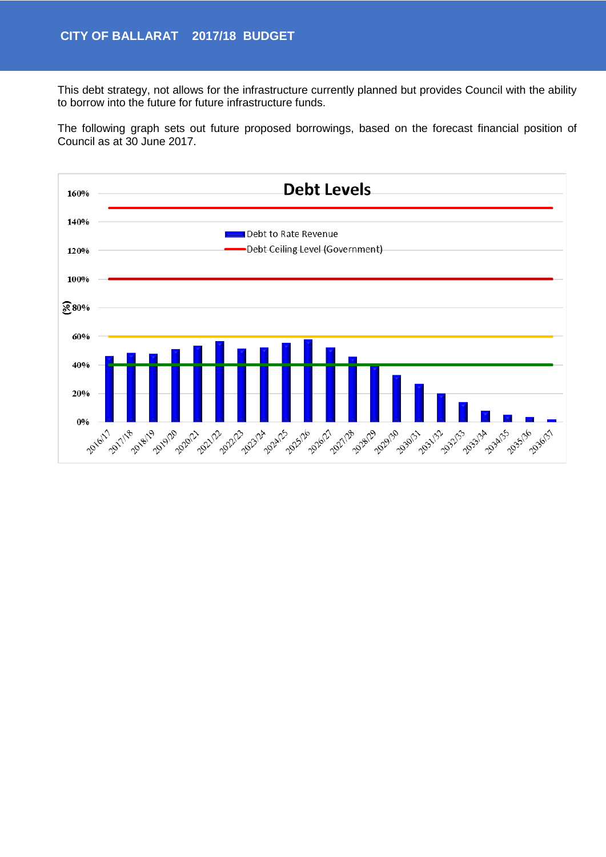This debt strategy, not allows for the infrastructure currently planned but provides Council with the ability to borrow into the future for future infrastructure funds.

The following graph sets out future proposed borrowings, based on the forecast financial position of Council as at 30 June 2017.

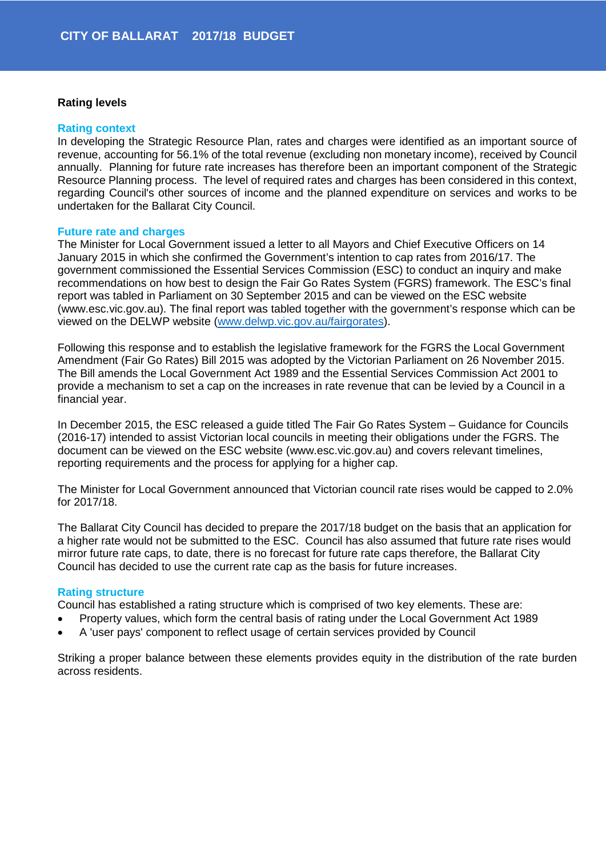## **Rating levels**

#### **Rating context**

In developing the Strategic Resource Plan, rates and charges were identified as an important source of revenue, accounting for 56.1% of the total revenue (excluding non monetary income), received by Council annually. Planning for future rate increases has therefore been an important component of the Strategic Resource Planning process. The level of required rates and charges has been considered in this context, regarding Council's other sources of income and the planned expenditure on services and works to be undertaken for the Ballarat City Council.

#### **Future rate and charges**

The Minister for Local Government issued a letter to all Mayors and Chief Executive Officers on 14 January 2015 in which she confirmed the Government's intention to cap rates from 2016/17. The government commissioned the Essential Services Commission (ESC) to conduct an inquiry and make recommendations on how best to design the Fair Go Rates System (FGRS) framework. The ESC's final report was tabled in Parliament on 30 September 2015 and can be viewed on the ESC website (www.esc.vic.gov.au). The final report was tabled together with the government's response which can be viewed on the DELWP website [\(www.delwp.vic.gov.au/fairgorates\)](http://www.delwp.vic.gov.au/fairgorates).

Following this response and to establish the legislative framework for the FGRS the Local Government Amendment (Fair Go Rates) Bill 2015 was adopted by the Victorian Parliament on 26 November 2015. The Bill amends the Local Government Act 1989 and the Essential Services Commission Act 2001 to provide a mechanism to set a cap on the increases in rate revenue that can be levied by a Council in a financial year.

In December 2015, the ESC released a guide titled The Fair Go Rates System – Guidance for Councils (2016-17) intended to assist Victorian local councils in meeting their obligations under the FGRS. The document can be viewed on the ESC website (www.esc.vic.gov.au) and covers relevant timelines, reporting requirements and the process for applying for a higher cap.

The Minister for Local Government announced that Victorian council rate rises would be capped to 2.0% for 2017/18.

The Ballarat City Council has decided to prepare the 2017/18 budget on the basis that an application for a higher rate would not be submitted to the ESC. Council has also assumed that future rate rises would mirror future rate caps, to date, there is no forecast for future rate caps therefore, the Ballarat City Council has decided to use the current rate cap as the basis for future increases.

#### **Rating structure**

Council has established a rating structure which is comprised of two key elements. These are:

- Property values, which form the central basis of rating under the Local Government Act 1989
- A 'user pays' component to reflect usage of certain services provided by Council

Striking a proper balance between these elements provides equity in the distribution of the rate burden across residents.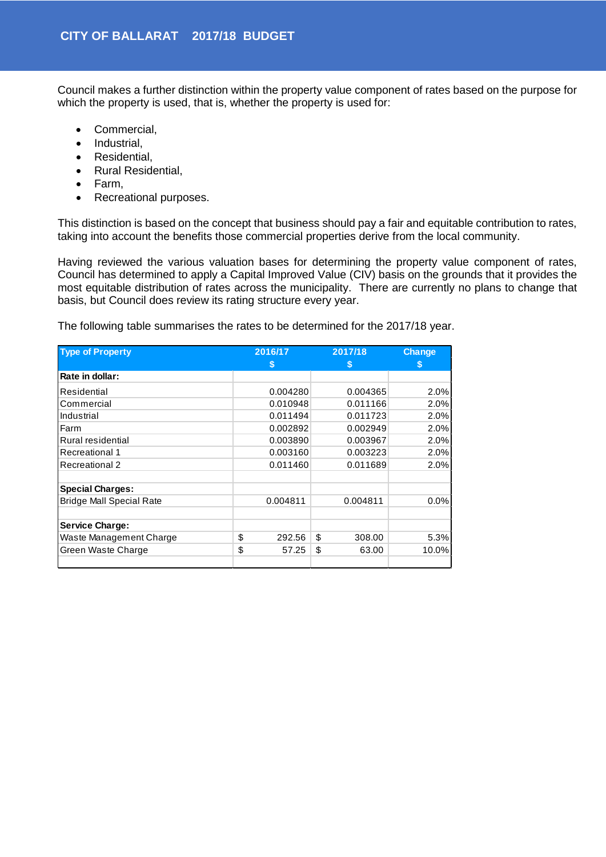Council makes a further distinction within the property value component of rates based on the purpose for which the property is used, that is, whether the property is used for:

- Commercial,
- Industrial,
- Residential,
- Rural Residential,
- Farm,
- Recreational purposes.

This distinction is based on the concept that business should pay a fair and equitable contribution to rates, taking into account the benefits those commercial properties derive from the local community.

Having reviewed the various valuation bases for determining the property value component of rates, Council has determined to apply a Capital Improved Value (CIV) basis on the grounds that it provides the most equitable distribution of rates across the municipality. There are currently no plans to change that basis, but Council does review its rating structure every year.

The following table summarises the rates to be determined for the 2017/18 year.

| <b>Type of Property</b>         | 2016/17      | 2017/18      | <b>Change</b> |
|---------------------------------|--------------|--------------|---------------|
|                                 | S            | S            | S             |
| Rate in dollar:                 |              |              |               |
| Residential                     | 0.004280     | 0.004365     | 2.0%          |
| Commercial                      | 0.010948     | 0.011166     | 2.0%          |
| Industrial                      | 0.011494     | 0.011723     | 2.0%          |
| Farm                            | 0.002892     | 0.002949     | 2.0%          |
| Rural residential               | 0.003890     | 0.003967     | 2.0%          |
| Recreational 1                  | 0.003160     | 0.003223     | 2.0%          |
| Recreational 2                  | 0.011460     | 0.011689     | 2.0%          |
| <b>Special Charges:</b>         |              |              |               |
| <b>Bridge Mall Special Rate</b> | 0.004811     | 0.004811     | 0.0%          |
| <b>Service Charge:</b>          |              |              |               |
| Waste Management Charge         | \$<br>292.56 | \$<br>308.00 | 5.3%          |
| Green Waste Charge              | \$<br>57.25  | \$<br>63.00  | 10.0%         |
|                                 |              |              |               |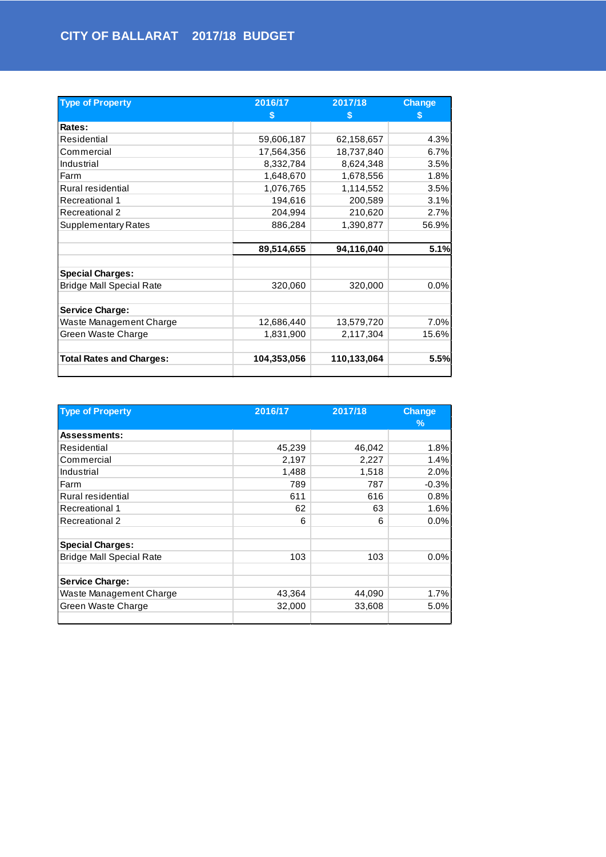| <b>Type of Property</b>         | 2016/17<br>S | 2017/18<br>S | <b>Change</b><br>S |
|---------------------------------|--------------|--------------|--------------------|
| Rates:                          |              |              |                    |
| Residential                     | 59,606,187   | 62,158,657   | 4.3%               |
| Commercial                      | 17,564,356   | 18,737,840   | 6.7%               |
| Industrial                      | 8,332,784    | 8,624,348    | 3.5%               |
| Farm                            | 1,648,670    | 1,678,556    | 1.8%               |
| Rural residential               | 1,076,765    | 1,114,552    | 3.5%               |
| <b>Recreational 1</b>           | 194,616      | 200,589      | 3.1%               |
| Recreational 2                  | 204,994      | 210,620      | 2.7%               |
| <b>Supplementary Rates</b>      | 886,284      | 1,390,877    | 56.9%              |
|                                 | 89,514,655   | 94,116,040   | 5.1%               |
| <b>Special Charges:</b>         |              |              |                    |
| <b>Bridge Mall Special Rate</b> | 320,060      | 320,000      | 0.0%               |
| <b>Service Charge:</b>          |              |              |                    |
| Waste Management Charge         | 12,686,440   | 13,579,720   | 7.0%               |
| Green Waste Charge              | 1,831,900    | 2,117,304    | 15.6%              |
| <b>Total Rates and Charges:</b> | 104,353,056  | 110,133,064  | 5.5%               |

| <b>Type of Property</b>         | 2016/17 | 2017/18 | <b>Change</b> |
|---------------------------------|---------|---------|---------------|
|                                 |         |         | %             |
| <b>Assessments:</b>             |         |         |               |
| Residential                     | 45,239  | 46,042  | 1.8%          |
| Commercial                      | 2,197   | 2,227   | 1.4%          |
| Industrial                      | 1,488   | 1,518   | 2.0%          |
| Farm                            | 789     | 787     | $-0.3%$       |
| Rural residential               | 611     | 616     | 0.8%          |
| <b>Recreational 1</b>           | 62      | 63      | 1.6%          |
| Recreational 2                  | 6       | 6       | 0.0%          |
| <b>Special Charges:</b>         |         |         |               |
| <b>Bridge Mall Special Rate</b> | 103     | 103     | 0.0%          |
| <b>Service Charge:</b>          |         |         |               |
| Waste Management Charge         | 43,364  | 44,090  | 1.7%          |
| Green Waste Charge              | 32,000  | 33,608  | 5.0%          |
|                                 |         |         |               |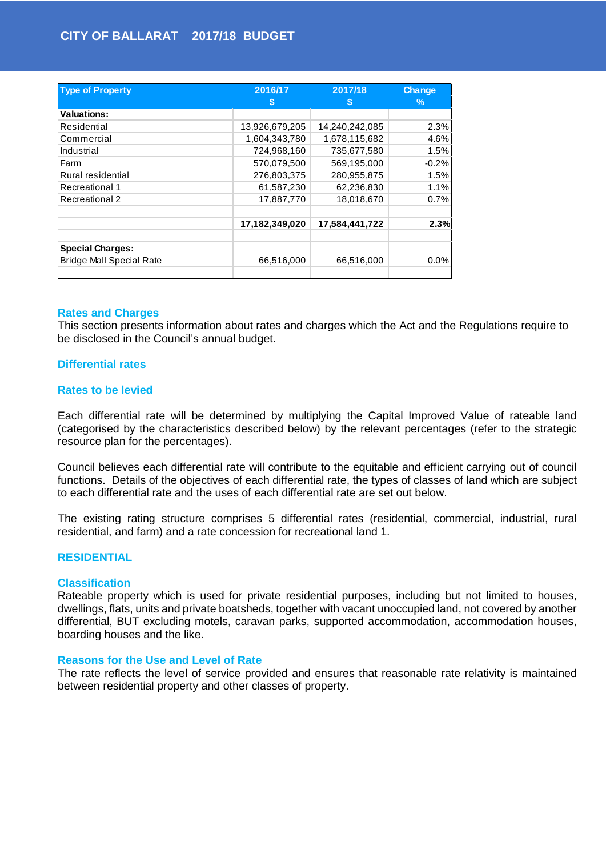| <b>Type of Property</b>         | 2016/17<br>S   | 2017/18<br>S   | <b>Change</b><br>$\%$ |
|---------------------------------|----------------|----------------|-----------------------|
| <b>Valuations:</b>              |                |                |                       |
| Residential                     | 13,926,679,205 | 14,240,242,085 | 2.3%                  |
| Commercial                      | 1,604,343,780  | 1,678,115,682  | 4.6%                  |
| Industrial                      | 724,968,160    | 735,677,580    | 1.5%                  |
| Farm                            | 570,079,500    | 569,195,000    | $-0.2%$               |
| Rural residential               | 276,803,375    | 280,955,875    | 1.5%                  |
| Recreational 1                  | 61,587,230     | 62,236,830     | 1.1%                  |
| Recreational 2                  | 17,887,770     | 18,018,670     | 0.7%                  |
|                                 | 17,182,349,020 | 17,584,441,722 | 2.3%                  |
| <b>Special Charges:</b>         |                |                |                       |
| <b>Bridge Mall Special Rate</b> | 66,516,000     | 66,516,000     | 0.0%                  |

#### **Rates and Charges**

This section presents information about rates and charges which the Act and the Regulations require to be disclosed in the Council's annual budget.

#### **Differential rates**

#### **Rates to be levied**

Each differential rate will be determined by multiplying the Capital Improved Value of rateable land (categorised by the characteristics described below) by the relevant percentages (refer to the strategic resource plan for the percentages).

Council believes each differential rate will contribute to the equitable and efficient carrying out of council functions. Details of the objectives of each differential rate, the types of classes of land which are subject to each differential rate and the uses of each differential rate are set out below.

The existing rating structure comprises 5 differential rates (residential, commercial, industrial, rural residential, and farm) and a rate concession for recreational land 1.

#### **RESIDENTIAL**

#### **Classification**

Rateable property which is used for private residential purposes, including but not limited to houses, dwellings, flats, units and private boatsheds, together with vacant unoccupied land, not covered by another differential, BUT excluding motels, caravan parks, supported accommodation, accommodation houses, boarding houses and the like.

#### **Reasons for the Use and Level of Rate**

The rate reflects the level of service provided and ensures that reasonable rate relativity is maintained between residential property and other classes of property.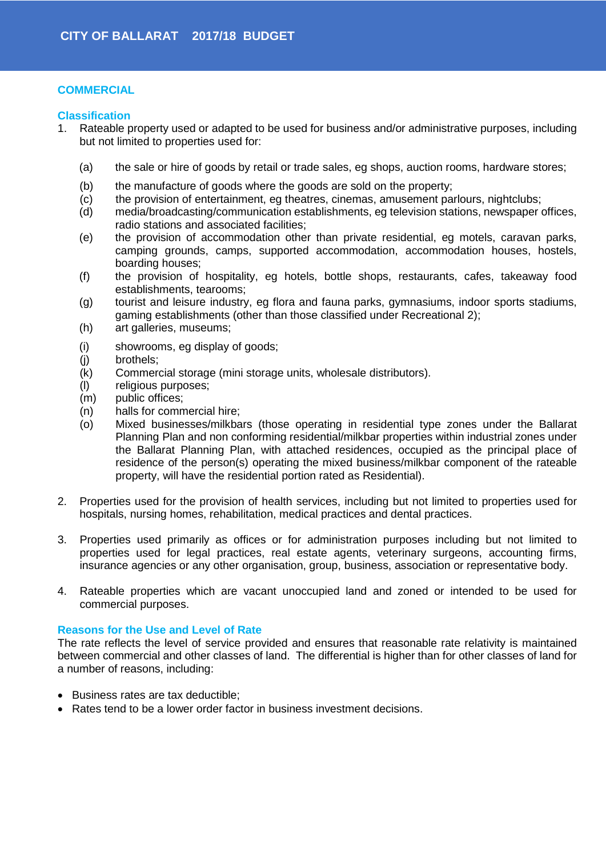## **COMMERCIAL**

## **Classification**

- 1. Rateable property used or adapted to be used for business and/or administrative purposes, including but not limited to properties used for:
	- (a) the sale or hire of goods by retail or trade sales, eg shops, auction rooms, hardware stores;
	- (b) the manufacture of goods where the goods are sold on the property;
	- (c) the provision of entertainment, eg theatres, cinemas, amusement parlours, nightclubs;
	- (d) media/broadcasting/communication establishments, eg television stations, newspaper offices, radio stations and associated facilities;
	- (e) the provision of accommodation other than private residential, eg motels, caravan parks, camping grounds, camps, supported accommodation, accommodation houses, hostels, boarding houses;
	- (f) the provision of hospitality, eg hotels, bottle shops, restaurants, cafes, takeaway food establishments, tearooms;
	- (g) tourist and leisure industry, eg flora and fauna parks, gymnasiums, indoor sports stadiums, gaming establishments (other than those classified under Recreational 2);
	- (h) art galleries, museums;
	- (i) showrooms, eg display of goods;
	- (j) brothels;<br>(k) Commer
	- Commercial storage (mini storage units, wholesale distributors).
	- (l) religious purposes;
	- (m) public offices;
	- (n) halls for commercial hire;
	- (o) Mixed businesses/milkbars (those operating in residential type zones under the Ballarat Planning Plan and non conforming residential/milkbar properties within industrial zones under the Ballarat Planning Plan, with attached residences, occupied as the principal place of residence of the person(s) operating the mixed business/milkbar component of the rateable property, will have the residential portion rated as Residential).
- 2. Properties used for the provision of health services, including but not limited to properties used for hospitals, nursing homes, rehabilitation, medical practices and dental practices.
- 3. Properties used primarily as offices or for administration purposes including but not limited to properties used for legal practices, real estate agents, veterinary surgeons, accounting firms, insurance agencies or any other organisation, group, business, association or representative body.
- 4. Rateable properties which are vacant unoccupied land and zoned or intended to be used for commercial purposes.

#### **Reasons for the Use and Level of Rate**

The rate reflects the level of service provided and ensures that reasonable rate relativity is maintained between commercial and other classes of land. The differential is higher than for other classes of land for a number of reasons, including:

- Business rates are tax deductible;
- Rates tend to be a lower order factor in business investment decisions.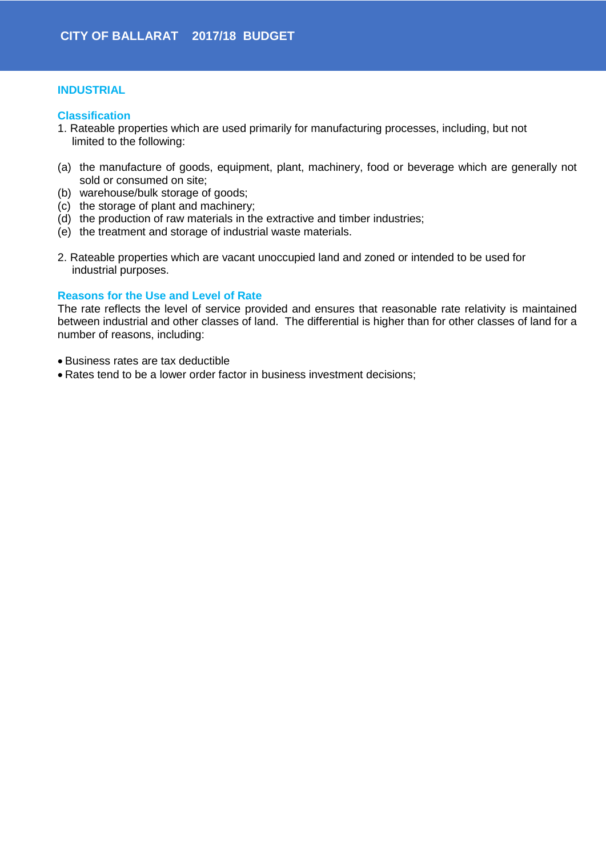## **INDUSTRIAL**

#### **Classification**

- 1. Rateable properties which are used primarily for manufacturing processes, including, but not limited to the following:
- (a) the manufacture of goods, equipment, plant, machinery, food or beverage which are generally not sold or consumed on site;
- (b) warehouse/bulk storage of goods;
- (c) the storage of plant and machinery;
- (d) the production of raw materials in the extractive and timber industries;
- (e) the treatment and storage of industrial waste materials.
- 2. Rateable properties which are vacant unoccupied land and zoned or intended to be used for industrial purposes.

## **Reasons for the Use and Level of Rate**

The rate reflects the level of service provided and ensures that reasonable rate relativity is maintained between industrial and other classes of land. The differential is higher than for other classes of land for a number of reasons, including:

- Business rates are tax deductible
- Rates tend to be a lower order factor in business investment decisions;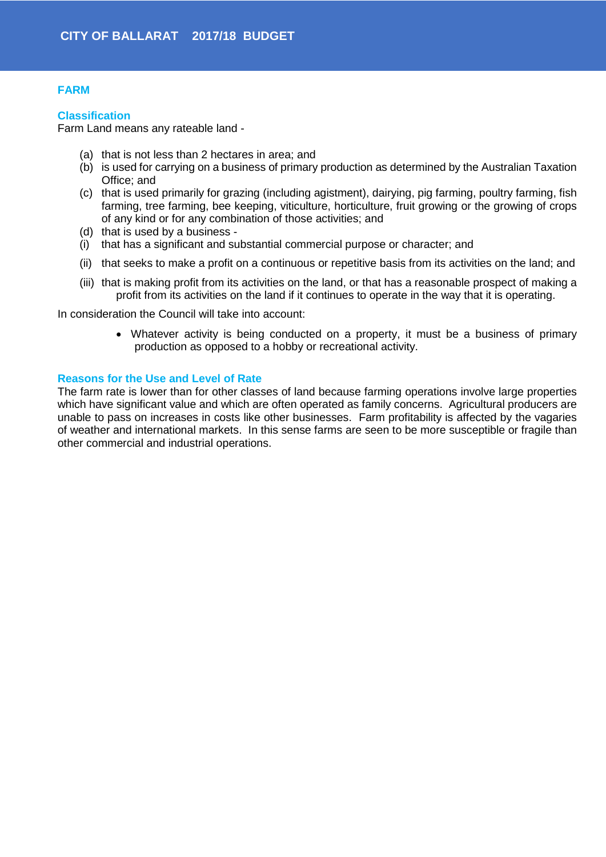## **FARM**

#### **Classification**

Farm Land means any rateable land -

- (a) that is not less than 2 hectares in area; and
- (b) is used for carrying on a business of primary production as determined by the Australian Taxation Office; and
- (c) that is used primarily for grazing (including agistment), dairying, pig farming, poultry farming, fish farming, tree farming, bee keeping, viticulture, horticulture, fruit growing or the growing of crops of any kind or for any combination of those activities; and
- (d) that is used by a business -
- (i) that has a significant and substantial commercial purpose or character; and
- (ii) that seeks to make a profit on a continuous or repetitive basis from its activities on the land; and
- (iii) that is making profit from its activities on the land, or that has a reasonable prospect of making a profit from its activities on the land if it continues to operate in the way that it is operating.

In consideration the Council will take into account:

• Whatever activity is being conducted on a property, it must be a business of primary production as opposed to a hobby or recreational activity.

## **Reasons for the Use and Level of Rate**

The farm rate is lower than for other classes of land because farming operations involve large properties which have significant value and which are often operated as family concerns. Agricultural producers are unable to pass on increases in costs like other businesses. Farm profitability is affected by the vagaries of weather and international markets. In this sense farms are seen to be more susceptible or fragile than other commercial and industrial operations.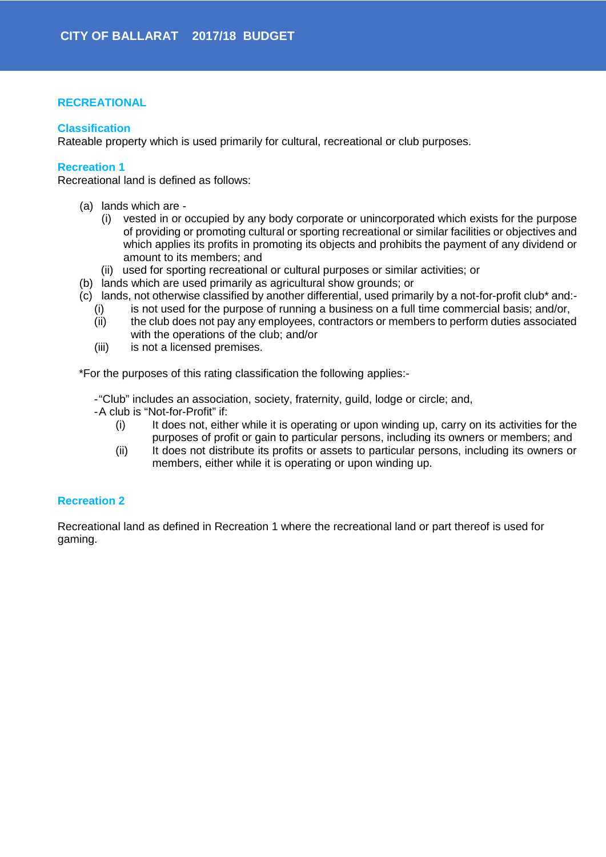## **RECREATIONAL**

## **Classification**

Rateable property which is used primarily for cultural, recreational or club purposes.

## **Recreation 1**

Recreational land is defined as follows:

- (a) lands which are
	- (i) vested in or occupied by any body corporate or unincorporated which exists for the purpose of providing or promoting cultural or sporting recreational or similar facilities or objectives and which applies its profits in promoting its objects and prohibits the payment of any dividend or amount to its members; and
	- (ii) used for sporting recreational or cultural purposes or similar activities; or
- (b) lands which are used primarily as agricultural show grounds; or
- (c) lands, not otherwise classified by another differential, used primarily by a not-for-profit club\* and:-
	- (i) is not used for the purpose of running a business on a full time commercial basis; and/or,
	- (ii) the club does not pay any employees, contractors or members to perform duties associated with the operations of the club; and/or
	- (iii) is not a licensed premises.

\*For the purposes of this rating classification the following applies:-

-"Club" includes an association, society, fraternity, guild, lodge or circle; and,

- -A club is "Not-for-Profit" if:
	- (i) It does not, either while it is operating or upon winding up, carry on its activities for the purposes of profit or gain to particular persons, including its owners or members; and
	- (ii) It does not distribute its profits or assets to particular persons, including its owners or members, either while it is operating or upon winding up.

## **Recreation 2**

Recreational land as defined in Recreation 1 where the recreational land or part thereof is used for gaming.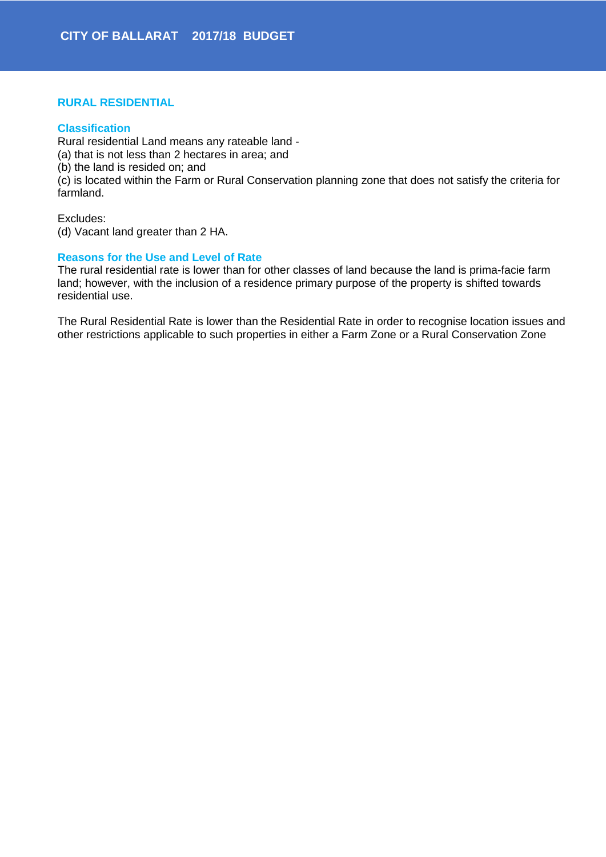## **RURAL RESIDENTIAL**

#### **Classification**

Rural residential Land means any rateable land - (a) that is not less than 2 hectares in area; and (b) the land is resided on; and (c) is located within the Farm or Rural Conservation planning zone that does not satisfy the criteria for farmland.

Excludes:

(d) Vacant land greater than 2 HA.

#### **Reasons for the Use and Level of Rate**

The rural residential rate is lower than for other classes of land because the land is prima-facie farm land; however, with the inclusion of a residence primary purpose of the property is shifted towards residential use.

The Rural Residential Rate is lower than the Residential Rate in order to recognise location issues and other restrictions applicable to such properties in either a Farm Zone or a Rural Conservation Zone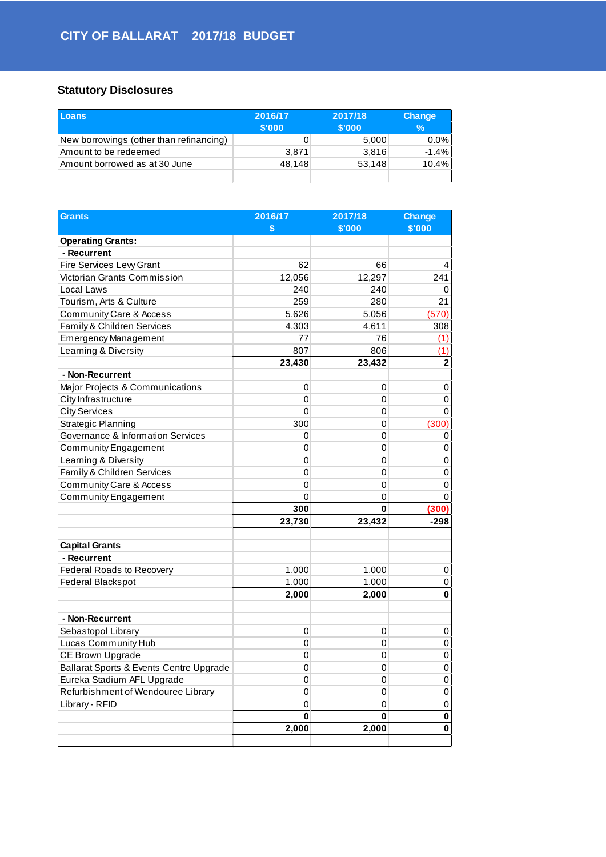## **Statutory Disclosures**

| Loans                                   | 2016/17<br>\$'000 | 2017/18<br>\$'000 | <b>Change</b><br>$\%$ |
|-----------------------------------------|-------------------|-------------------|-----------------------|
| New borrowings (other than refinancing) |                   | 5,000             | $0.0\%$               |
| Amount to be redeemed                   | 3.871             | 3.816             | $-1.4%$               |
| Amount borrowed as at 30 June           | 48.148            | 53,148            | 10.4%                 |
|                                         |                   |                   |                       |

| <b>Grants</b>                           | 2016/17  | 2017/18 | <b>Change</b> |
|-----------------------------------------|----------|---------|---------------|
|                                         | \$       | \$'000  | \$'000        |
| <b>Operating Grants:</b>                |          |         |               |
| - Recurrent                             |          |         |               |
| Fire Services Levy Grant                | 62       | 66      | 4             |
| Victorian Grants Commission             | 12,056   | 12,297  | 241           |
| Local Laws                              | 240      | 240     | 0             |
| Tourism, Arts & Culture                 | 259      | 280     | 21            |
| Community Care & Access                 | 5,626    | 5,056   | (570)         |
| Family & Children Services              | 4,303    | 4,611   | 308           |
| <b>Emergency Management</b>             | 77       | 76      | (1)           |
| Learning & Diversity                    | 807      | 806     | (1)           |
|                                         | 23,430   | 23,432  | 2             |
| - Non-Recurrent                         |          |         |               |
| Major Projects & Communications         | 0        | 0       | 0             |
| City Infrastructure                     | 0        | 0       | 0             |
| <b>City Services</b>                    | 0        | 0       | 0             |
| Strategic Planning                      | 300      | 0       | (300)         |
| Governance & Information Services       | 0        | 0       | 0             |
| <b>Community Engagement</b>             | 0        | 0       | 0             |
| Learning & Diversity                    | 0        | 0       | 0             |
| Family & Children Services              | 0        | 0       | 0             |
| Community Care & Access                 | 0        | 0       | 0             |
| <b>Community Engagement</b>             | 0        | 0       | O             |
|                                         | 300      | 0       | (300)         |
|                                         | 23,730   | 23,432  | $-298$        |
|                                         |          |         |               |
| <b>Capital Grants</b>                   |          |         |               |
| - Recurrent                             |          |         |               |
| Federal Roads to Recovery               | 1,000    | 1,000   | 0             |
| Federal Blackspot                       | 1,000    | 1,000   | 0             |
|                                         | 2,000    | 2,000   | 0             |
| - Non-Recurrent                         |          |         |               |
| Sebastopol Library                      | 0        | 0       | 0             |
| Lucas Community Hub                     | 0        | 0       | 0             |
| CE Brown Upgrade                        | 0        | 0       | 0             |
| Ballarat Sports & Events Centre Upgrade | 0        | 0       | 0             |
| Eureka Stadium AFL Upgrade              | 0        |         |               |
|                                         |          | 0       | 0             |
| Refurbishment of Wendouree Library      | 0        | 0       | 0             |
| Library - RFID                          | 0        | 0       | 0             |
|                                         | $\bf{0}$ | 0       | 0             |
|                                         | 2,000    | 2,000   | 0             |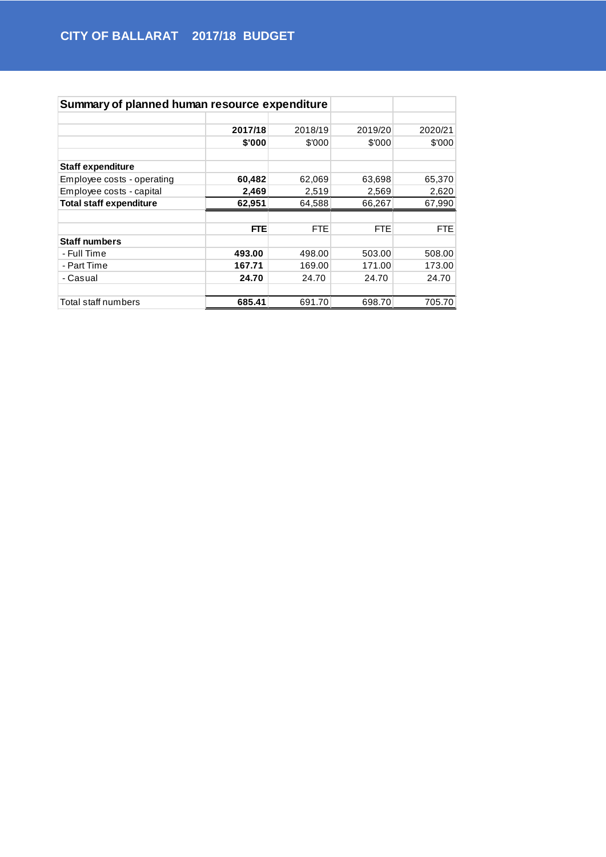| Summary of planned human resource expenditure |            |            |            |         |
|-----------------------------------------------|------------|------------|------------|---------|
|                                               |            |            |            |         |
|                                               | 2017/18    | 2018/19    | 2019/20    | 2020/21 |
|                                               | \$'000     | \$'000     | \$'000     | \$'000  |
| <b>Staff expenditure</b>                      |            |            |            |         |
| Employee costs - operating                    | 60,482     | 62,069     | 63,698     | 65,370  |
| Employee costs - capital                      | 2,469      | 2,519      | 2,569      | 2,620   |
| <b>Total staff expenditure</b>                | 62,951     | 64,588     | 66,267     | 67,990  |
|                                               |            |            |            |         |
|                                               | <b>FTE</b> | <b>FTE</b> | <b>FTE</b> | FTE     |
| <b>Staff numbers</b>                          |            |            |            |         |
| - Full Time                                   | 493.00     | 498.00     | 503.00     | 508.00  |
| - Part Time                                   | 167.71     | 169.00     | 171.00     | 173.00  |
| - Casual                                      | 24.70      | 24.70      | 24.70      | 24.70   |
|                                               |            |            |            |         |
| Total staff numbers                           | 685.41     | 691.70     | 698.70     | 705.70  |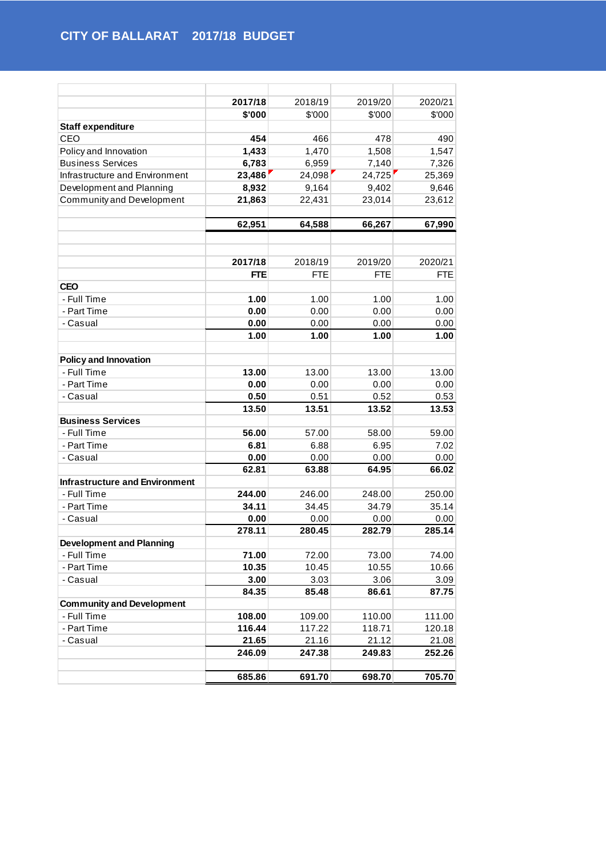|                                       | 2017/18    | 2018/19    | 2019/20    | 2020/21    |
|---------------------------------------|------------|------------|------------|------------|
|                                       | \$'000     | \$'000     | \$'000     | \$'000     |
| <b>Staff expenditure</b>              |            |            |            |            |
| CEO                                   | 454        | 466        | 478        | 490        |
| Policy and Innovation                 | 1,433      | 1,470      | 1,508      | 1,547      |
| <b>Business Services</b>              | 6,783      | 6,959      | 7,140      | 7,326      |
| Infrastructure and Environment        | 23,486     | 24,098     | 24,725     | 25,369     |
| Development and Planning              | 8,932      | 9,164      | 9,402      | 9,646      |
| Community and Development             | 21,863     | 22,431     | 23,014     | 23,612     |
|                                       |            |            |            |            |
|                                       | 62,951     | 64,588     | 66,267     | 67,990     |
|                                       |            |            |            |            |
|                                       |            |            |            |            |
|                                       | 2017/18    | 2018/19    | 2019/20    | 2020/21    |
|                                       | <b>FTE</b> | <b>FTE</b> | <b>FTE</b> | <b>FTE</b> |
| <b>CEO</b>                            |            |            |            |            |
| - Full Time                           | 1.00       | 1.00       | 1.00       | 1.00       |
| - Part Time                           | 0.00       | 0.00       | 0.00       | 0.00       |
| - Casual                              | 0.00       | 0.00       | 0.00       | 0.00       |
|                                       | 1.00       | 1.00       | 1.00       | 1.00       |
| <b>Policy and Innovation</b>          |            |            |            |            |
| - Full Time                           | 13.00      | 13.00      | 13.00      | 13.00      |
| - Part Time                           | 0.00       | 0.00       | 0.00       | 0.00       |
| - Casual                              | 0.50       | 0.51       | 0.52       | 0.53       |
|                                       | 13.50      | 13.51      | 13.52      | 13.53      |
| <b>Business Services</b>              |            |            |            |            |
| - Full Time                           | 56.00      | 57.00      | 58.00      | 59.00      |
| - Part Time                           | 6.81       | 6.88       | 6.95       | 7.02       |
| - Casual                              | 0.00       | 0.00       | 0.00       | 0.00       |
|                                       | 62.81      | 63.88      | 64.95      | 66.02      |
| <b>Infrastructure and Environment</b> |            |            |            |            |
| - Full Time                           | 244.00     | 246.00     | 248.00     | 250.00     |
| - Part Time                           | 34.11      | 34.45      | 34.79      | 35.14      |
| - Casual                              | 0.00       | 0.00       | 0.00       | 0.00       |
|                                       | 278.11     | 280.45     | 282.79     | 285.14     |
| <b>Development and Planning</b>       |            |            |            |            |
| - Full Time                           | 71.00      | 72.00      | 73.00      | 74.00      |
| - Part Time                           | 10.35      | 10.45      | 10.55      | 10.66      |
| - Casual                              | 3.00       | 3.03       | 3.06       | 3.09       |
|                                       | 84.35      | 85.48      | 86.61      | 87.75      |
| <b>Community and Development</b>      |            |            |            |            |
| - Full Time                           | 108.00     | 109.00     | 110.00     | 111.00     |
| - Part Time                           | 116.44     | 117.22     | 118.71     | 120.18     |
| - Casual                              | 21.65      | 21.16      | 21.12      | 21.08      |
|                                       | 246.09     | 247.38     | 249.83     | 252.26     |
|                                       |            |            |            |            |
|                                       | 685.86     | 691.70     | 698.70     | 705.70     |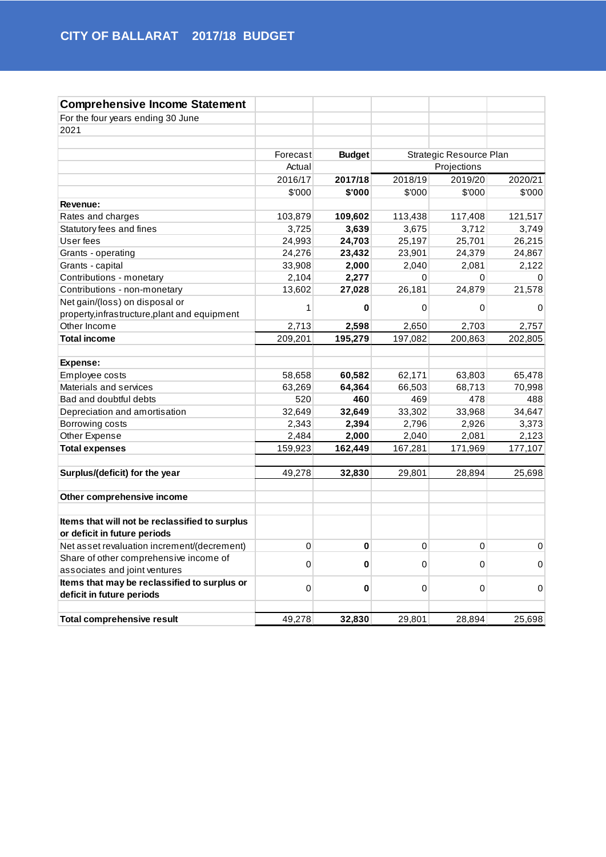| <b>Comprehensive Income Statement</b>          |          |               |         |                         |          |
|------------------------------------------------|----------|---------------|---------|-------------------------|----------|
| For the four years ending 30 June              |          |               |         |                         |          |
| 2021                                           |          |               |         |                         |          |
|                                                |          |               |         |                         |          |
|                                                | Forecast | <b>Budget</b> |         | Strategic Resource Plan |          |
|                                                | Actual   |               |         | Projections             |          |
|                                                | 2016/17  | 2017/18       | 2018/19 | 2019/20                 | 2020/21  |
|                                                | \$'000   | \$'000        | \$'000  | \$'000                  | \$'000   |
| Revenue:                                       |          |               |         |                         |          |
| Rates and charges                              | 103,879  | 109,602       | 113,438 | 117,408                 | 121,517  |
| Statutory fees and fines                       | 3,725    | 3,639         | 3,675   | 3,712                   | 3,749    |
| User fees                                      | 24,993   | 24,703        | 25,197  | 25,701                  | 26,215   |
| Grants - operating                             | 24,276   | 23,432        | 23,901  | 24,379                  | 24,867   |
| Grants - capital                               | 33,908   | 2,000         | 2,040   | 2,081                   | 2,122    |
| Contributions - monetary                       | 2,104    | 2,277         | 0       | 0                       | $\Omega$ |
| Contributions - non-monetary                   | 13,602   | 27,028        | 26,181  | 24,879                  | 21,578   |
| Net gain/(loss) on disposal or                 |          |               |         |                         |          |
| property, infrastructure, plant and equipment  | 1        | 0             | 0       | 0                       | 0        |
| Other Income                                   | 2,713    | 2,598         | 2,650   | 2,703                   | 2,757    |
| <b>Total income</b>                            | 209,201  | 195,279       | 197,082 | 200,863                 | 202,805  |
|                                                |          |               |         |                         |          |
| Expense:                                       |          |               |         |                         |          |
| Employee costs                                 | 58,658   | 60,582        | 62,171  | 63,803                  | 65,478   |
| Materials and services                         | 63,269   | 64,364        | 66,503  | 68,713                  | 70,998   |
| Bad and doubtful debts                         | 520      | 460           | 469     | 478                     | 488      |
| Depreciation and amortisation                  | 32,649   | 32,649        | 33,302  | 33,968                  | 34,647   |
| Borrowing costs                                | 2,343    | 2,394         | 2,796   | 2,926                   | 3,373    |
| Other Expense                                  | 2,484    | 2,000         | 2,040   | 2,081                   | 2,123    |
| <b>Total expenses</b>                          | 159,923  | 162,449       | 167,281 | 171,969                 | 177,107  |
|                                                |          |               |         |                         |          |
| Surplus/(deficit) for the year                 | 49,278   | 32,830        | 29,801  | 28,894                  | 25,698   |
|                                                |          |               |         |                         |          |
| Other comprehensive income                     |          |               |         |                         |          |
| Items that will not be reclassified to surplus |          |               |         |                         |          |
| or deficit in future periods                   |          |               |         |                         |          |
| Net asset revaluation increment/(decrement)    | 0        | 0             | 0       | 0                       | 0        |
| Share of other comprehensive income of         |          |               |         |                         |          |
| associates and joint ventures                  | 0        | 0             | 0       | $\Omega$                | 0        |
| Items that may be reclassified to surplus or   |          |               |         |                         |          |
| deficit in future periods                      | 0        | 0             | 0       | $\Omega$                | 0        |
|                                                |          |               |         |                         |          |
| <b>Total comprehensive result</b>              | 49,278   | 32,830        | 29,801  | 28,894                  | 25,698   |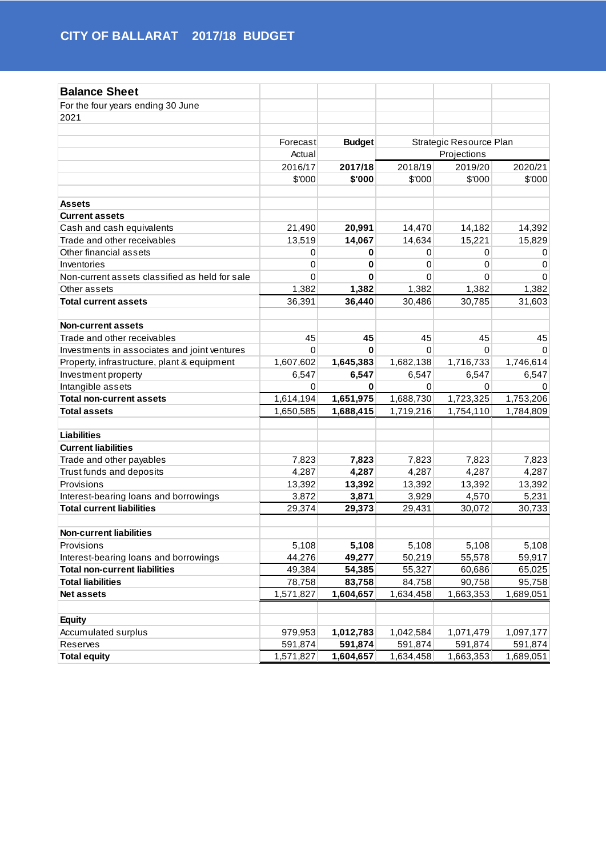| <b>Balance Sheet</b>                           |             |               |             |                         |           |  |  |
|------------------------------------------------|-------------|---------------|-------------|-------------------------|-----------|--|--|
| For the four years ending 30 June              |             |               |             |                         |           |  |  |
| 2021                                           |             |               |             |                         |           |  |  |
|                                                |             |               |             |                         |           |  |  |
|                                                | Forecast    | <b>Budget</b> |             | Strategic Resource Plan |           |  |  |
|                                                | Actual      |               |             | Projections             |           |  |  |
|                                                | 2016/17     | 2017/18       | 2018/19     | 2019/20                 | 2020/21   |  |  |
|                                                | \$'000      | \$'000        | \$'000      | \$'000                  | \$'000    |  |  |
|                                                |             |               |             |                         |           |  |  |
| Assets                                         |             |               |             |                         |           |  |  |
| <b>Current assets</b>                          |             |               |             |                         |           |  |  |
| Cash and cash equivalents                      | 21,490      | 20,991        | 14,470      | 14,182                  | 14,392    |  |  |
| Trade and other receivables                    | 13,519      | 14,067        | 14,634      | 15,221                  | 15,829    |  |  |
| Other financial assets                         | 0           | 0             | 0           | 0                       | 0         |  |  |
| Inventories                                    | $\mathbf 0$ | 0             | 0           | 0                       | 0         |  |  |
| Non-current assets classified as held for sale | $\mathbf 0$ | 0             | $\mathbf 0$ | $\Omega$                | $\Omega$  |  |  |
| Other assets                                   | 1,382       | 1,382         | 1,382       | 1,382                   | 1,382     |  |  |
| <b>Total current assets</b>                    | 36,391      | 36,440        | 30,486      | 30,785                  | 31,603    |  |  |
|                                                |             |               |             |                         |           |  |  |
| <b>Non-current assets</b>                      |             |               |             |                         |           |  |  |
| Trade and other receivables                    | 45          | 45            | 45          | 45                      | 45        |  |  |
| Investments in associates and joint ventures   | $\mathbf 0$ | 0             | $\mathbf 0$ | 0                       | 0         |  |  |
| Property, infrastructure, plant & equipment    | 1,607,602   | 1,645,383     | 1,682,138   | 1,716,733               | 1,746,614 |  |  |
| Investment property                            | 6,547       | 6,547         | 6,547       | 6,547                   | 6,547     |  |  |
| Intangible assets                              | 0           | 0             | 0           | 0                       | 0         |  |  |
| <b>Total non-current assets</b>                | 1,614,194   | 1,651,975     | 1,688,730   | 1,723,325               | 1,753,206 |  |  |
| <b>Total assets</b>                            | 1,650,585   | 1,688,415     | 1,719,216   | 1,754,110               | 1,784,809 |  |  |
|                                                |             |               |             |                         |           |  |  |
| <b>Liabilities</b>                             |             |               |             |                         |           |  |  |
| <b>Current liabilities</b>                     |             |               |             |                         |           |  |  |
| Trade and other payables                       | 7,823       | 7,823         | 7,823       | 7,823                   | 7,823     |  |  |
| Trust funds and deposits                       | 4,287       | 4,287         | 4,287       | 4,287                   | 4,287     |  |  |
| Provisions                                     | 13,392      | 13,392        | 13,392      | 13,392                  | 13,392    |  |  |
| Interest-bearing loans and borrowings          | 3,872       | 3,871         | 3,929       | 4,570                   | 5,231     |  |  |
| <b>Total current liabilities</b>               | 29,374      | 29,373        | 29,431      | 30,072                  | 30,733    |  |  |
| <b>Non-current liabilities</b>                 |             |               |             |                         |           |  |  |
| Provisions                                     | 5,108       | 5,108         | 5,108       | 5,108                   | 5,108     |  |  |
| Interest-bearing loans and borrowings          | 44,276      | 49,277        | 50,219      | 55,578                  | 59,917    |  |  |
| <b>Total non-current liabilities</b>           | 49,384      | 54,385        | 55,327      | 60,686                  | 65,025    |  |  |
| <b>Total liabilities</b>                       | 78,758      | 83,758        | 84,758      | 90,758                  | 95,758    |  |  |
| Net assets                                     | 1,571,827   | 1,604,657     | 1,634,458   | 1,663,353               | 1,689,051 |  |  |
|                                                |             |               |             |                         |           |  |  |
| <b>Equity</b>                                  |             |               |             |                         |           |  |  |
| Accumulated surplus                            | 979,953     | 1,012,783     | 1,042,584   | 1,071,479               | 1,097,177 |  |  |
| Reserves                                       | 591,874     | 591,874       | 591,874     | 591,874                 | 591,874   |  |  |
| <b>Total equity</b>                            | 1,571,827   | 1,604,657     | 1,634,458   | 1,663,353               | 1,689,051 |  |  |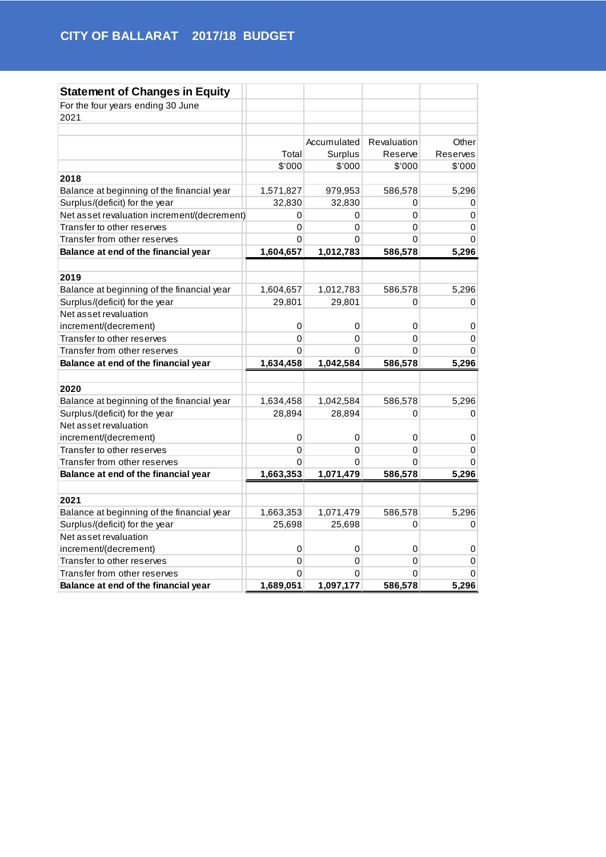| <b>Statement of Changes in Equity</b>       |           |             |             |                 |
|---------------------------------------------|-----------|-------------|-------------|-----------------|
| For the four years ending 30 June           |           |             |             |                 |
| 2021                                        |           |             |             |                 |
|                                             |           |             |             |                 |
|                                             |           | Accumulated | Revaluation | Other           |
|                                             | Total     | Surplus     | Reserve     | <b>Reserves</b> |
|                                             | \$'000    | \$'000      | \$'000      | \$'000          |
| 2018                                        |           |             |             |                 |
| Balance at beginning of the financial year  | 1,571,827 | 979,953     | 586,578     | 5,296           |
| Surplus/(deficit) for the year              | 32,830    | 32,830      | 0           | 0               |
| Net asset revaluation increment/(decrement) | 0         | 0           | $\Omega$    | 0               |
| Transfer to other reserves                  | 0         | 0           | 0           | 0               |
| Transfer from other reserves                | 0         | $\Omega$    | 0           | $\Omega$        |
| Balance at end of the financial year        | 1,604,657 | 1,012,783   | 586,578     | 5,296           |
|                                             |           |             |             |                 |
| 2019                                        |           |             |             |                 |
| Balance at beginning of the financial year  | 1,604,657 | 1,012,783   | 586,578     | 5,296           |
| Surplus/(deficit) for the year              | 29,801    | 29,801      | $\Omega$    | 0               |
| Net asset revaluation                       |           |             |             |                 |
| increment/(decrement)                       | 0         | 0           | 0           | 0               |
| Transfer to other reserves                  | 0         | 0           | 0           | 0               |
| Transfer from other reserves                | 0         | 0           | 0           | 0               |
| Balance at end of the financial year        | 1,634,458 | 1,042,584   | 586,578     | 5,296           |
|                                             |           |             |             |                 |
| 2020                                        |           |             |             |                 |
| Balance at beginning of the financial year  | 1,634,458 | 1,042,584   | 586,578     | 5,296           |
| Surplus/(deficit) for the year              | 28,894    | 28,894      | 0           | 0               |
| Net asset revaluation                       |           |             |             |                 |
| increment/(decrement)                       | 0         | 0           | 0           | 0               |
| Transfer to other reserves                  | 0         | 0           | 0           | 0               |
| Transfer from other reserves                | 0         | 0           | $\Omega$    | $\Omega$        |
| Balance at end of the financial year        | 1,663,353 | 1,071,479   | 586,578     | 5,296           |
|                                             |           |             |             |                 |
| 2021                                        |           |             |             |                 |
| Balance at beginning of the financial year  | 1,663,353 | 1,071,479   | 586,578     | 5,296           |
| Surplus/(deficit) for the year              | 25,698    | 25,698      | 0           | 0               |
| Net asset revaluation                       |           |             |             |                 |
| increment/(decrement)                       | 0         | $\,0\,$     | 0           | 0               |
| Transfer to other reserves                  | 0         | 0           | $\Omega$    | 0               |
| Transfer from other reserves                | 0         | 0           | 0           | 0               |
| Balance at end of the financial year        | 1,689,051 | 1,097,177   | 586,578     | 5,296           |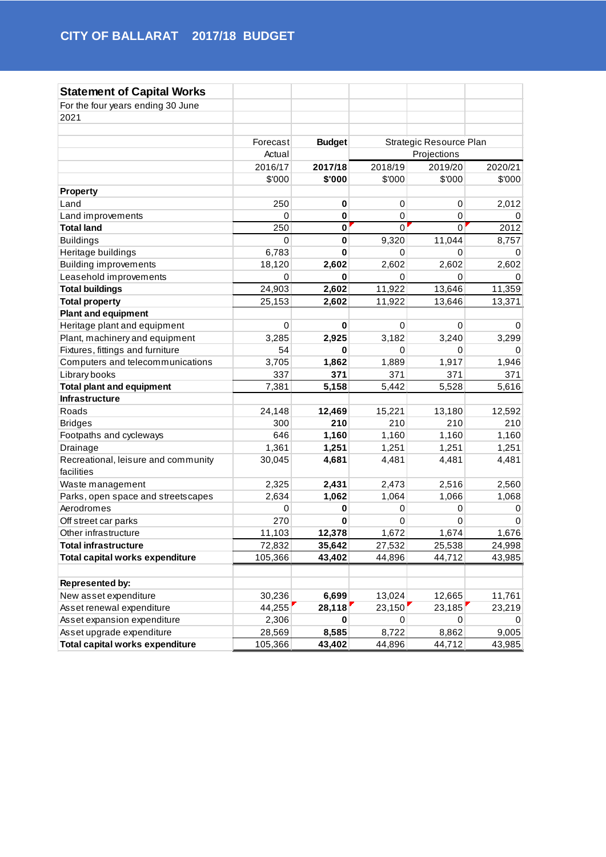| <b>Statement of Capital Works</b>   |             |               |             |                         |         |
|-------------------------------------|-------------|---------------|-------------|-------------------------|---------|
| For the four years ending 30 June   |             |               |             |                         |         |
| 2021                                |             |               |             |                         |         |
|                                     |             |               |             |                         |         |
|                                     | Forecast    | <b>Budget</b> |             | Strategic Resource Plan |         |
|                                     | Actual      |               |             | Projections             |         |
|                                     | 2016/17     | 2017/18       | 2018/19     | 2019/20                 | 2020/21 |
|                                     | \$'000      | \$'000        | \$'000      | \$'000                  | \$'000  |
| <b>Property</b>                     |             |               |             |                         |         |
| Land                                | 250         | 0             | 0           | 0                       | 2,012   |
| Land improvements                   | 0           | $\bf{0}$      | 0           | 0                       | 0       |
| <b>Total land</b>                   | 250         | $\mathbf 0$   | 0           | $\Omega$                | 2012    |
| <b>Buildings</b>                    | $\mathbf 0$ | $\mathbf 0$   | 9,320       | 11,044                  | 8,757   |
| Heritage buildings                  | 6,783       | $\bf{0}$      | 0           | $\mathbf 0$             | 0       |
| <b>Building improvements</b>        | 18,120      | 2,602         | 2,602       | 2,602                   | 2,602   |
| Leasehold improvements              | 0           | 0             | 0           | 0                       | 0       |
| <b>Total buildings</b>              | 24,903      | 2,602         | 11,922      | 13,646                  | 11,359  |
| <b>Total property</b>               | 25,153      | 2,602         | 11,922      | 13,646                  | 13,371  |
| <b>Plant and equipment</b>          |             |               |             |                         |         |
| Heritage plant and equipment        | 0           | 0             | $\mathbf 0$ | $\mathbf 0$             | 0       |
| Plant, machinery and equipment      | 3,285       | 2,925         | 3,182       | 3,240                   | 3,299   |
| Fixtures, fittings and furniture    | 54          | $\bf{0}$      | $\mathbf 0$ | $\mathbf 0$             | 0       |
| Computers and telecommunications    | 3,705       | 1,862         | 1,889       | 1,917                   | 1,946   |
| Library books                       | 337         | 371           | 371         | 371                     | 371     |
| <b>Total plant and equipment</b>    | 7,381       | 5,158         | 5,442       | 5,528                   | 5,616   |
| Infrastructure                      |             |               |             |                         |         |
| Roads                               | 24,148      | 12,469        | 15,221      | 13,180                  | 12,592  |
| <b>Bridges</b>                      | 300         | 210           | 210         | 210                     | 210     |
| Footpaths and cycleways             | 646         | 1,160         | 1,160       | 1,160                   | 1,160   |
| Drainage                            | 1,361       | 1,251         | 1,251       | 1,251                   | 1,251   |
| Recreational, leisure and community | 30,045      | 4,681         | 4,481       | 4,481                   | 4,481   |
| facilities                          |             |               |             |                         |         |
| Waste management                    | 2,325       | 2,431         | 2,473       | 2,516                   | 2,560   |
| Parks, open space and streetscapes  | 2,634       | 1,062         | 1,064       | 1,066                   | 1,068   |
| Aerodromes                          | 0           | 0             | 0           | 0                       | 0       |
| Off street car parks                | 270         | 0             | 0           | 0                       | 0       |
| Other infrastructure                | 11,103      | 12,378        | 1,672       | 1,674                   | 1,676   |
| <b>Total infrastructure</b>         | 72,832      | 35,642        | 27,532      | 25,538                  | 24,998  |
| Total capital works expenditure     | 105,366     | 43,402        | 44,896      | 44,712                  | 43,985  |
|                                     |             |               |             |                         |         |
| <b>Represented by:</b>              |             |               |             |                         |         |
| New asset expenditure               | 30,236      | 6,699         | 13,024      | 12,665                  | 11,761  |
| Asset renewal expenditure           | 44,255      | 28,118        | 23,150      | 23,185                  | 23,219  |
| Asset expansion expenditure         | 2,306       | 0             | 0           | 0                       | 0       |
| Asset upgrade expenditure           | 28,569      | 8,585         | 8,722       | 8,862                   | 9,005   |
| Total capital works expenditure     | 105,366     | 43,402        | 44,896      | 44,712                  | 43,985  |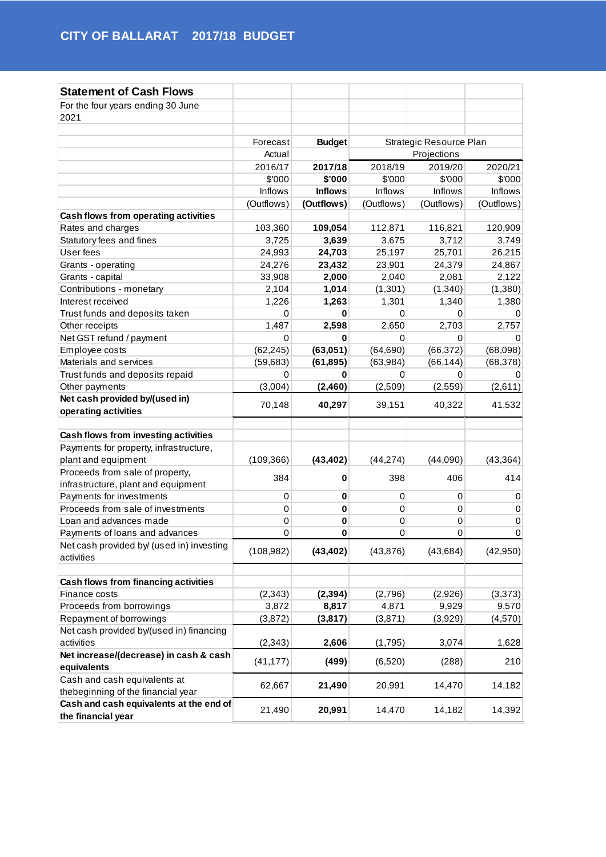| <b>Statement of Cash Flows</b>                         |            |                |                |                         |                |
|--------------------------------------------------------|------------|----------------|----------------|-------------------------|----------------|
| For the four years ending 30 June                      |            |                |                |                         |                |
| 2021                                                   |            |                |                |                         |                |
|                                                        |            |                |                |                         |                |
|                                                        | Forecast   | <b>Budget</b>  |                | Strategic Resource Plan |                |
|                                                        | Actual     |                |                | Projections             |                |
|                                                        | 2016/17    | 2017/18        | 2018/19        | 2019/20                 | 2020/21        |
|                                                        | \$'000     | \$'000         | \$'000         | \$'000                  | \$'000         |
|                                                        | Inflows    | <b>Inflows</b> | <b>Inflows</b> | <b>Inflows</b>          | <b>Inflows</b> |
|                                                        | (Outflows) | (Outflows)     | (Outflows)     | (Outflows)              | (Outflows)     |
| Cash flows from operating activities                   |            |                |                |                         |                |
| Rates and charges                                      | 103,360    | 109,054        | 112,871        | 116,821                 | 120,909        |
| Statutory fees and fines                               | 3,725      | 3,639          | 3,675          | 3,712                   | 3,749          |
| User fees                                              | 24,993     | 24,703         | 25,197         | 25,701                  | 26,215         |
| Grants - operating                                     | 24,276     | 23,432         | 23,901         | 24,379                  | 24,867         |
| Grants - capital                                       | 33,908     | 2,000          | 2,040          | 2,081                   | 2,122          |
| Contributions - monetary                               | 2,104      | 1,014          | (1,301)        | (1,340)                 | (1,380)        |
| Interest received                                      | 1,226      | 1,263          | 1,301          | 1,340                   | 1,380          |
| Trust funds and deposits taken                         | 0          | 0              | 0              | 0                       | 0              |
| Other receipts                                         | 1,487      | 2,598          | 2,650          | 2,703                   | 2,757          |
| Net GST refund / payment                               | 0          | 0              | 0              | 0                       | 0              |
| Employee costs                                         | (62, 245)  | (63,051)       | (64, 690)      | (66, 372)               | (68,098)       |
| Materials and services                                 | (59, 683)  | (61, 895)      | (63,984)       | (66, 144)               | (68, 378)      |
| Trust funds and deposits repaid                        | 0          | 0              | 0              | 0                       | 0              |
| Other payments                                         | (3,004)    | (2,460)        | (2,509)        | (2, 559)                | (2,611)        |
| Net cash provided by/(used in)                         | 70,148     | 40,297         | 39,151         | 40,322                  | 41,532         |
| operating activities                                   |            |                |                |                         |                |
| Cash flows from investing activities                   |            |                |                |                         |                |
| Payments for property, infrastructure,                 |            |                |                |                         |                |
| plant and equipment                                    | (109, 366) | (43, 402)      | (44, 274)      | (44,090)                | (43, 364)      |
| Proceeds from sale of property,                        |            |                |                |                         |                |
| infrastructure, plant and equipment                    | 384        | 0              | 398            | 406                     | 414            |
| Payments for investments                               | $\pmb{0}$  | 0              | $\mathbf 0$    | 0                       | 0              |
| Proceeds from sale of investments                      | $\pmb{0}$  | 0              | 0              | 0                       | 0              |
| Loan and advances made                                 | 0          | 0              | $\mathbf 0$    | $\pmb{0}$               | $\pmb{0}$      |
| Payments of loans and advances                         | 0          | 0              | $\mathbf 0$    | $\mathbf 0$             | $\mathbf 0$    |
| Net cash provided by/ (used in) investing              |            |                |                |                         |                |
| activities                                             | (108, 982) | (43, 402)      | (43, 876)      | (43, 684)               | (42,950)       |
|                                                        |            |                |                |                         |                |
| Cash flows from financing activities                   |            |                |                |                         |                |
| Finance costs                                          | (2, 343)   | (2, 394)       | (2,796)        | (2,926)                 | (3,373)        |
| Proceeds from borrowings                               | 3,872      | 8,817          | 4,871          | 9,929                   | 9,570          |
| Repayment of borrowings                                | (3, 872)   | (3, 817)       | (3,871)        | (3,929)                 | (4,570)        |
| Net cash provided by/(used in) financing<br>activities | (2, 343)   | 2,606          | (1,795)        | 3,074                   | 1,628          |
| Net increase/(decrease) in cash & cash                 |            |                |                |                         |                |
| equivalents                                            | (41, 177)  | (499)          | (6,520)        | (288)                   | 210            |
| Cash and cash equivalents at                           |            |                |                |                         |                |
| thebeginning of the financial year                     | 62,667     | 21,490         | 20,991         | 14,470                  | 14,182         |
| Cash and cash equivalents at the end of                |            |                |                |                         |                |
| the financial year                                     | 21,490     | 20,991         | 14,470         | 14,182                  | 14,392         |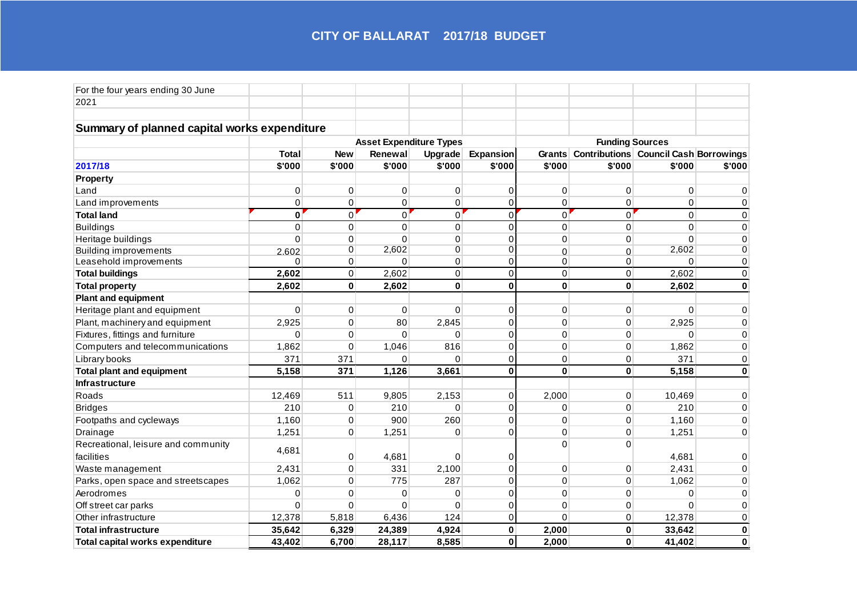| For the four years ending 30 June            |              |             |                                |                |                        |                |                                              |                |             |  |
|----------------------------------------------|--------------|-------------|--------------------------------|----------------|------------------------|----------------|----------------------------------------------|----------------|-------------|--|
| 2021                                         |              |             |                                |                |                        |                |                                              |                |             |  |
|                                              |              |             |                                |                |                        |                |                                              |                |             |  |
| Summary of planned capital works expenditure |              |             |                                |                |                        |                |                                              |                |             |  |
|                                              |              |             | <b>Asset Expenditure Types</b> |                | <b>Funding Sources</b> |                |                                              |                |             |  |
|                                              | <b>Total</b> | <b>New</b>  | Renewal                        | Upgrade        | <b>Expansion</b>       |                | Grants Contributions Council Cash Borrowings |                |             |  |
| 2017/18                                      | \$'000       | \$'000      | \$'000                         | \$'000         | \$'000                 | \$'000         | \$'000                                       | \$'000         | \$'000      |  |
| Property                                     |              |             |                                |                |                        |                |                                              |                |             |  |
| Land                                         | 0            | 0           | 0                              | $\mathbf{0}$   | $\mathbf 0$            | 0              | 0                                            | 0              | $\Omega$    |  |
| Land improvements                            | $\pmb{0}$    | 0           | 0                              | 0              | $\mathbf 0$            | 0              | 0                                            | 0              | 0           |  |
| <b>Total land</b>                            | $\bf{0}$     | 0           | $\mathbf 0$                    | $\overline{0}$ | $\Omega$               | $\overline{0}$ | $\Omega$                                     | $\overline{0}$ | $\mathbf 0$ |  |
| <b>Buildings</b>                             | $\mathbf 0$  | $\pmb{0}$   | $\mathbf 0$                    | $\overline{0}$ | $\Omega$               | $\overline{0}$ | $\Omega$                                     | $\overline{0}$ | $\Omega$    |  |
| Heritage buildings                           | $\Omega$     | 0           | $\Omega$                       | $\mathbf{0}$   | $\Omega$               | $\Omega$       | $\Omega$                                     | $\Omega$       | $\Omega$    |  |
| <b>Building improvements</b>                 | 2.602        | 0           | 2,602                          | $\overline{0}$ | $\overline{0}$         | $\mathbf 0$    | $\Omega$                                     | 2,602          | 0           |  |
| Leasehold improvements                       | $\Omega$     | $\mathbf 0$ | $\Omega$                       | $\mathsf 0$    | $\pmb{0}$              | 0              | 0                                            | $\Omega$       | 0           |  |
| <b>Total buildings</b>                       | 2,602        | 0           | 2,602                          | 0              | $\mathbf 0$            | $\mathbf 0$    | 0                                            | 2,602          | 0           |  |
| <b>Total property</b>                        | 2,602        | $\mathbf 0$ | 2,602                          | $\mathbf 0$    | $\mathbf 0$            | $\mathbf 0$    | $\mathbf 0$                                  | 2,602          | $\mathbf 0$ |  |
| <b>Plant and equipment</b>                   |              |             |                                |                |                        |                |                                              |                |             |  |
| Heritage plant and equipment                 | $\mathbf{0}$ | $\mathbf 0$ | $\mathbf 0$                    | $\Omega$       | $\mathbf 0$            | 0              | 0                                            | $\mathbf{0}$   | $\mathbf 0$ |  |
| Plant, machinery and equipment               | 2,925        | 0           | 80                             | 2,845          | $\mathbf 0$            | 0              | 0                                            | 2,925          | $\pmb{0}$   |  |
| Fixtures, fittings and furniture             | $\Omega$     | 0           | $\Omega$                       | $\Omega$       | $\Omega$               | 0              | $\mathbf 0$                                  | $\mathbf{0}$   | $\mathbf 0$ |  |
| Computers and telecommunications             | 1,862        | 0           | 1,046                          | 816            | $\mathbf 0$            | 0              | $\mathbf 0$                                  | 1,862          | $\mathbf 0$ |  |
| Library books                                | 371          | 371         | $\Omega$                       | $\Omega$       | $\mathbf 0$            | 0              | 0                                            | 371            | $\mathbf 0$ |  |
| <b>Total plant and equipment</b>             | 5,158        | 371         | 1,126                          | 3,661          | $\mathbf 0$            | 0              | $\mathbf{0}$                                 | 5,158          | $\mathbf 0$ |  |
| Infrastructure                               |              |             |                                |                |                        |                |                                              |                |             |  |
| Roads                                        | 12,469       | 511         | 9,805                          | 2,153          | $\mathbf 0$            | 2,000          | $\mathbf 0$                                  | 10,469         | 0           |  |
| <b>Bridges</b>                               | 210          | 0           | 210                            | $\Omega$       | $\mathbf 0$            | 0              | $\mathbf 0$                                  | 210            | $\Omega$    |  |
| Footpaths and cycleways                      | 1,160        | 0           | 900                            | 260            | $\Omega$               | 0              | $\Omega$                                     | 1,160          | $\Omega$    |  |
| Drainage                                     | 1,251        | 0           | 1,251                          | $\Omega$       | $\Omega$               | 0              | $\Omega$                                     | 1,251          | $\Omega$    |  |
| Recreational, leisure and community          |              |             |                                |                |                        | 0              | $\Omega$                                     |                |             |  |
| facilities                                   | 4,681        | $\mathbf 0$ | 4,681                          | 0              | $\Omega$               |                |                                              | 4,681          | $\Omega$    |  |
| Waste management                             | 2,431        | $\mathbf 0$ | 331                            | 2,100          | $\Omega$               | $\mathbf 0$    | 0                                            | 2,431          | $\mathbf 0$ |  |
| Parks, open space and streetscapes           | 1,062        | $\mathbf 0$ | 775                            | 287            | $\Omega$               | 0              | $\mathbf 0$                                  | 1,062          | $\Omega$    |  |
| Aerodromes                                   | $\mathbf 0$  | 0           | 0                              | 0              | $\Omega$               | 0              | 0                                            | 0              | $\Omega$    |  |
| Off street car parks                         | $\Omega$     | 0           | $\mathbf 0$                    | $\mathbf{0}$   | $\mathbf 0$            | $\mathbf 0$    | 0                                            | $\Omega$       | 0           |  |
| Other infrastructure                         | 12,378       | 5,818       | 6,436                          | 124            | $\mathbf 0$            | 0              | 0                                            | 12,378         | 0           |  |
| <b>Total infrastructure</b>                  | 35,642       | 6,329       | 24,389                         | 4,924          | $\mathbf 0$            | 2,000          | $\mathbf 0$                                  | 33,642         | $\pmb{0}$   |  |
| Total capital works expenditure              | 43,402       | 6,700       | 28,117                         | 8,585          | $\bf{0}$               | 2,000          | $\bf{0}$                                     | 41,402         | $\bf{0}$    |  |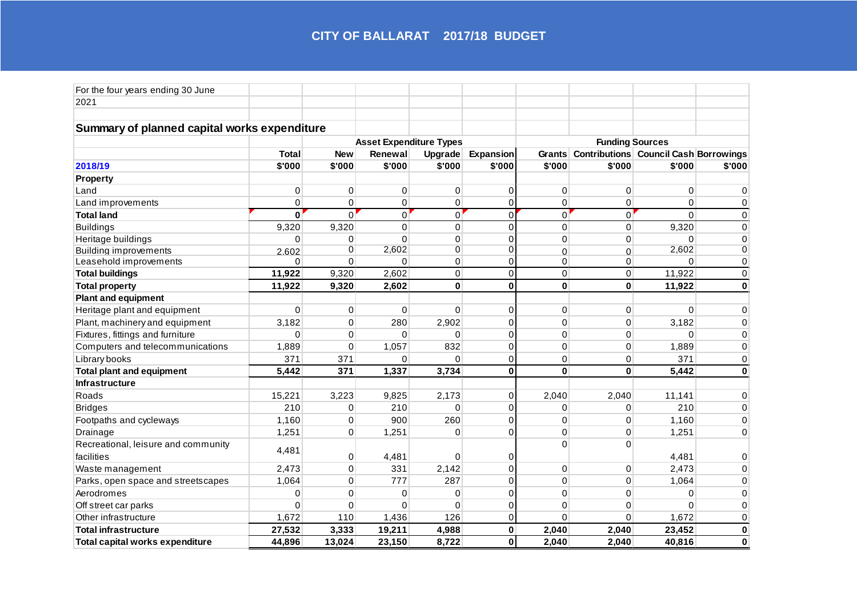| For the four years ending 30 June            |              |                |                                |                |                  |                        |                                              |             |              |  |  |
|----------------------------------------------|--------------|----------------|--------------------------------|----------------|------------------|------------------------|----------------------------------------------|-------------|--------------|--|--|
| 2021                                         |              |                |                                |                |                  |                        |                                              |             |              |  |  |
|                                              |              |                |                                |                |                  |                        |                                              |             |              |  |  |
| Summary of planned capital works expenditure |              |                |                                |                |                  |                        |                                              |             |              |  |  |
|                                              |              |                | <b>Asset Expenditure Types</b> |                |                  | <b>Funding Sources</b> |                                              |             |              |  |  |
|                                              | <b>Total</b> | <b>New</b>     | Renewal                        | <b>Upgrade</b> | <b>Expansion</b> |                        | Grants Contributions Council Cash Borrowings |             |              |  |  |
| 2018/19                                      | \$'000       | \$'000         | \$'000                         | \$'000         | \$'000           | \$'000                 | \$'000                                       | \$'000      | \$'000       |  |  |
| <b>Property</b>                              |              |                |                                |                |                  |                        |                                              |             |              |  |  |
| Land                                         | 0            | 0              | 0                              | $\mathbf{0}$   | $\mathbf 0$      | 0                      | 0                                            | 0           | $\Omega$     |  |  |
| Land improvements                            | $\pmb{0}$    | 0              | 0                              | 0              | $\pmb{0}$        | 0                      | 0                                            | 0           | 0            |  |  |
| <b>Total land</b>                            | $\bf{0}$     | 0              | $\mathbf 0$                    | $\overline{0}$ | $\Omega$         | $\overline{0}$         | $\Omega$                                     | $\Omega$    | $\mathbf 0$  |  |  |
| <b>Buildings</b>                             | 9,320        | 9,320          | $\mathbf 0$                    | $\overline{0}$ | $\Omega$         | $\overline{0}$         | 0                                            | 9,320       | $\Omega$     |  |  |
| Heritage buildings                           | $\Omega$     | 0              | $\Omega$                       | $\mathbf{0}$   | $\Omega$         | $\Omega$               | $\Omega$                                     | $\Omega$    | $\Omega$     |  |  |
| <b>Building improvements</b>                 | 2.602        | 0              | 2,602                          | $\overline{0}$ | $\overline{0}$   | $\mathbf 0$            | $\Omega$                                     | 2,602       | 0            |  |  |
| Leasehold improvements                       | $\Omega$     | $\overline{0}$ | $\Omega$                       | $\mathsf 0$    | $\pmb{0}$        | 0                      | 0                                            | $\Omega$    | 0            |  |  |
| <b>Total buildings</b>                       | 11,922       | 9,320          | 2,602                          | $\pmb{0}$      | $\mathbf 0$      | $\mathbf 0$            | 0                                            | 11,922      | $\mathbf 0$  |  |  |
| <b>Total property</b>                        | 11,922       | 9,320          | 2,602                          | $\mathbf 0$    | $\mathbf 0$      | $\mathbf 0$            | $\mathbf 0$                                  | 11,922      | $\mathbf{0}$ |  |  |
| <b>Plant and equipment</b>                   |              |                |                                |                |                  |                        |                                              |             |              |  |  |
| Heritage plant and equipment                 | $\mathbf{0}$ | $\mathbf 0$    | $\mathbf 0$                    | $\Omega$       | $\mathbf 0$      | 0                      | 0                                            | $\mathbf 0$ | $\mathbf 0$  |  |  |
| Plant, machinery and equipment               | 3,182        | 0              | 280                            | 2,902          | $\mathbf 0$      | 0                      | 0                                            | 3,182       | $\pmb{0}$    |  |  |
| Fixtures, fittings and furniture             | $\Omega$     | 0              | 0                              | $\Omega$       | $\Omega$         | 0                      | $\mathbf 0$                                  | $\mathbf 0$ | $\mathbf 0$  |  |  |
| Computers and telecommunications             | 1,889        | 0              | 1,057                          | 832            | $\mathbf 0$      | 0                      | $\mathbf 0$                                  | 1,889       | $\mathbf 0$  |  |  |
| Library books                                | 371          | 371            | $\Omega$                       | $\Omega$       | $\mathbf 0$      | 0                      | 0                                            | 371         | $\mathbf 0$  |  |  |
| <b>Total plant and equipment</b>             | 5,442        | 371            | 1,337                          | 3,734          | $\mathbf 0$      | 0                      | $\mathbf{0}$                                 | 5,442       | $\mathbf 0$  |  |  |
| Infrastructure                               |              |                |                                |                |                  |                        |                                              |             |              |  |  |
| Roads                                        | 15,221       | 3,223          | 9,825                          | 2,173          | $\mathbf 0$      | 2,040                  | 2,040                                        | 11,141      | 0            |  |  |
| <b>Bridges</b>                               | 210          | 0              | 210                            | $\Omega$       | $\mathbf 0$      | 0                      | 0                                            | 210         | $\Omega$     |  |  |
| Footpaths and cycleways                      | 1,160        | 0              | 900                            | 260            | $\Omega$         | 0                      | $\Omega$                                     | 1,160       | $\Omega$     |  |  |
| Drainage                                     | 1,251        | 0              | 1,251                          | $\Omega$       | $\Omega$         | 0                      | $\Omega$                                     | 1,251       | $\Omega$     |  |  |
| Recreational, leisure and community          | 4,481        |                |                                |                |                  | 0                      | $\Omega$                                     |             |              |  |  |
| facilities                                   |              | $\mathbf 0$    | 4,481                          | 0              | $\Omega$         |                        |                                              | 4,481       | $\Omega$     |  |  |
| Waste management                             | 2,473        | $\mathbf 0$    | 331                            | 2,142          | $\Omega$         | $\mathbf 0$            | 0                                            | 2,473       | $\mathbf 0$  |  |  |
| Parks, open space and streetscapes           | 1,064        | $\mathbf 0$    | 777                            | 287            | $\Omega$         | 0                      | $\mathbf 0$                                  | 1,064       | $\Omega$     |  |  |
| Aerodromes                                   | 0            | 0              | 0                              | 0              | $\mathbf 0$      | $\mathbf 0$            | 0                                            | 0           | $\Omega$     |  |  |
| Off street car parks                         | $\Omega$     | 0              | $\mathbf 0$                    | $\mathbf{0}$   | $\mathbf 0$      | $\mathbf 0$            | $\mathbf 0$                                  | $\Omega$    | $\mathbf 0$  |  |  |
| Other infrastructure                         | 1,672        | 110            | 1,436                          | 126            | $\mathbf 0$      | 0                      | $\Omega$                                     | 1,672       | 0            |  |  |
| <b>Total infrastructure</b>                  | 27,532       | 3,333          | 19,211                         | 4,988          | $\mathbf 0$      | 2,040                  | 2,040                                        | 23,452      | $\pmb{0}$    |  |  |
| Total capital works expenditure              | 44,896       | 13,024         | 23,150                         | 8,722          | $\bf{0}$         | 2,040                  | 2,040                                        | 40,816      | $\bf{0}$     |  |  |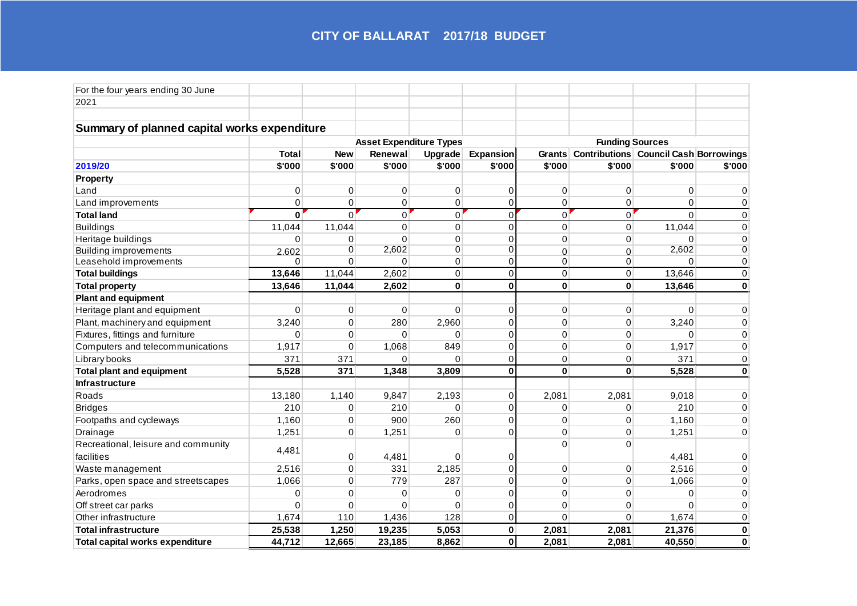| For the four years ending 30 June            |              |              |                                |                |                        |                |                                              |             |              |  |
|----------------------------------------------|--------------|--------------|--------------------------------|----------------|------------------------|----------------|----------------------------------------------|-------------|--------------|--|
| 2021                                         |              |              |                                |                |                        |                |                                              |             |              |  |
|                                              |              |              |                                |                |                        |                |                                              |             |              |  |
| Summary of planned capital works expenditure |              |              |                                |                |                        |                |                                              |             |              |  |
|                                              |              |              | <b>Asset Expenditure Types</b> |                | <b>Funding Sources</b> |                |                                              |             |              |  |
|                                              | <b>Total</b> | <b>New</b>   | Renewal                        | Upgrade        | Expansion              |                | Grants Contributions Council Cash Borrowings |             |              |  |
| 2019/20                                      | \$'000       | \$'000       | \$'000                         | \$'000         | \$'000                 | \$'000         | \$'000                                       | \$'000      | \$'000       |  |
| <b>Property</b>                              |              |              |                                |                |                        |                |                                              |             |              |  |
| Land                                         | 0            | 0            | $\mathbf 0$                    | 0              | 0                      | 0              | 0                                            | 0           | $\Omega$     |  |
| Land improvements                            | 0            | 0            | $\mathbf 0$                    | 0              | $\mathbf 0$            | 0              | 0                                            | 0           | 0            |  |
| <b>Total land</b>                            | $\bf{0}$     | $\Omega$     | $\Omega$                       | $\overline{0}$ | $\Omega$               | $\overline{0}$ | $\Omega$                                     | $\Omega$    | $\mathbf 0$  |  |
| <b>Buildings</b>                             | 11,044       | 11,044       | $\mathbf 0$                    | $\overline{0}$ | $\Omega$               | $\mathbf 0$    | 0                                            | 11,044      | $\Omega$     |  |
| Heritage buildings                           | $\Omega$     | $\Omega$     | $\Omega$                       | $\Omega$       | $\Omega$               | $\Omega$       | $\Omega$                                     | 0           | $\Omega$     |  |
| <b>Building improvements</b>                 | 2.602        | 0            | 2,602                          | $\overline{0}$ | $\overline{0}$         | $\mathbf 0$    | $\Omega$                                     | 2,602       | 0            |  |
| Leasehold improvements                       | $\Omega$     | $\mathbf{0}$ | $\Omega$                       | $\mathsf 0$    | $\mathbf 0$            | 0              | 0                                            | 0           | 0            |  |
| <b>Total buildings</b>                       | 13,646       | 11,044       | 2,602                          | $\mathsf 0$    | $\mathbf 0$            | $\mathbf 0$    | 0                                            | 13,646      | $\mathbf 0$  |  |
| <b>Total property</b>                        | 13,646       | 11,044       | 2,602                          | $\mathbf 0$    | $\mathbf 0$            | $\mathbf 0$    | $\mathbf 0$                                  | 13,646      | $\mathbf{0}$ |  |
| <b>Plant and equipment</b>                   |              |              |                                |                |                        |                |                                              |             |              |  |
| Heritage plant and equipment                 | $\Omega$     | 0            | $\mathbf 0$                    | 0              | $\mathbf 0$            | 0              | 0                                            | $\mathbf 0$ | $\mathbf 0$  |  |
| Plant, machinery and equipment               | 3,240        | 0            | 280                            | 2,960          | $\Omega$               | 0              | $\boldsymbol{0}$                             | 3,240       | $\pmb{0}$    |  |
| Fixtures, fittings and furniture             | $\Omega$     | $\mathbf 0$  | $\Omega$                       | $\Omega$       | $\Omega$               | 0              | $\mathbf 0$                                  | $\mathbf 0$ | $\mathbf 0$  |  |
| Computers and telecommunications             | 1,917        | $\mathbf 0$  | 1,068                          | 849            | $\mathbf 0$            | 0              | $\mathbf 0$                                  | 1,917       | $\mathbf 0$  |  |
| Library books                                | 371          | 371          | $\Omega$                       | $\Omega$       | $\mathbf 0$            | 0              | $\mathbf 0$                                  | 371         | $\mathbf 0$  |  |
| <b>Total plant and equipment</b>             | 5,528        | 371          | 1,348                          | 3,809          | $\bf{0}$               | $\mathbf 0$    | $\bf{0}$                                     | 5,528       | $\mathbf 0$  |  |
| Infrastructure                               |              |              |                                |                |                        |                |                                              |             |              |  |
| Roads                                        | 13,180       | 1,140        | 9,847                          | 2,193          | $\mathbf 0$            | 2,081          | 2,081                                        | 9,018       | 0            |  |
| <b>Bridges</b>                               | 210          | 0            | 210                            | 0              | $\mathbf 0$            | 0              | 0                                            | 210         | $\Omega$     |  |
| Footpaths and cycleways                      | 1,160        | $\Omega$     | 900                            | 260            | $\Omega$               | $\Omega$       | $\Omega$                                     | 1,160       | $\Omega$     |  |
| Drainage                                     | 1,251        | 0            | 1,251                          | $\Omega$       | $\Omega$               | $\Omega$       | $\Omega$                                     | 1,251       | $\Omega$     |  |
| Recreational, leisure and community          |              |              |                                |                |                        | $\Omega$       | $\Omega$                                     |             |              |  |
| facilities                                   | 4,481        | 0            | 4,481                          | 0              | $\Omega$               |                |                                              | 4,481       | $\Omega$     |  |
| Waste management                             | 2,516        | 0            | 331                            | 2,185          | $\Omega$               | 0              | $\boldsymbol{0}$                             | 2,516       | $\mathbf 0$  |  |
| Parks, open space and streetscapes           | 1,066        | 0            | 779                            | 287            | $\Omega$               | 0              | $\mathbf 0$                                  | 1,066       | $\Omega$     |  |
| Aerodromes                                   | 0            | 0            | 0                              | 0              | $\mathbf 0$            | 0              | 0                                            | 0           | $\Omega$     |  |
| Off street car parks                         | $\Omega$     | 0            | 0                              | 0              | $\mathbf 0$            | 0              | $\mathbf 0$                                  | $\Omega$    | $\mathbf 0$  |  |
| Other infrastructure                         | 1,674        | 110          | 1,436                          | 128            | $\mathbf 0$            | $\Omega$       | $\Omega$                                     | 1,674       | 0            |  |
| <b>Total infrastructure</b>                  | 25,538       | 1,250        | 19,235                         | 5,053          | $\mathbf 0$            | 2,081          | 2,081                                        | 21,376      | $\pmb{0}$    |  |
| Total capital works expenditure              | 44,712       | 12,665       | 23,185                         | 8,862          | $\bf{0}$               | 2,081          | 2,081                                        | 40,550      | $\bf{0}$     |  |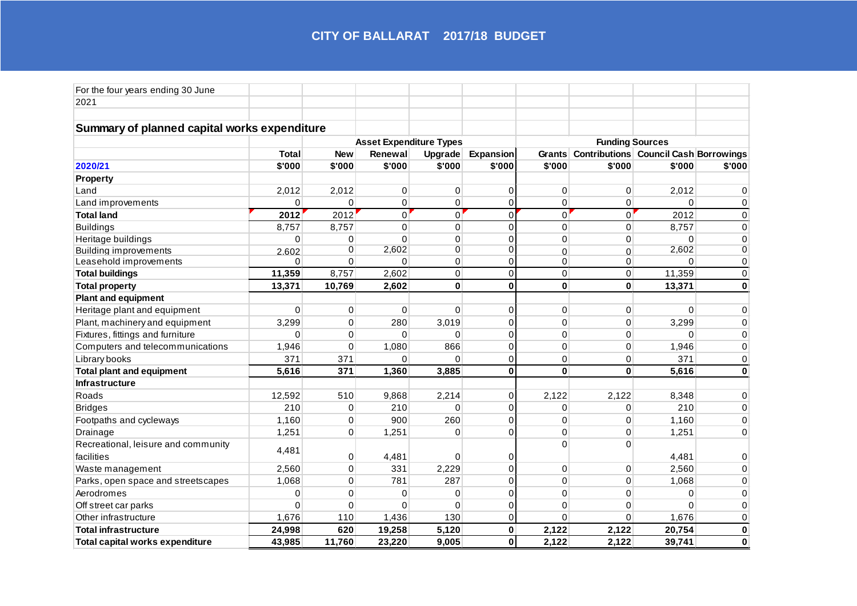| For the four years ending 30 June            |              |              |                                |                |                        |                |                                              |              |                |  |
|----------------------------------------------|--------------|--------------|--------------------------------|----------------|------------------------|----------------|----------------------------------------------|--------------|----------------|--|
| 2021                                         |              |              |                                |                |                        |                |                                              |              |                |  |
|                                              |              |              |                                |                |                        |                |                                              |              |                |  |
| Summary of planned capital works expenditure |              |              |                                |                |                        |                |                                              |              |                |  |
|                                              |              |              | <b>Asset Expenditure Types</b> |                | <b>Funding Sources</b> |                |                                              |              |                |  |
|                                              | <b>Total</b> | <b>New</b>   | Renewal                        | Upgrade        | Expansion              |                | Grants Contributions Council Cash Borrowings |              |                |  |
| 2020/21                                      | \$'000       | \$'000       | \$'000                         | \$'000         | \$'000                 | \$'000         | \$'000                                       | \$'000       | \$'000         |  |
| <b>Property</b>                              |              |              |                                |                |                        |                |                                              |              |                |  |
| Land                                         | 2,012        | 2,012        | $\mathbf 0$                    | 0              | 0                      | 0              | 0                                            | 2,012        | $\Omega$       |  |
| Land improvements                            | 0            | $\Omega$     | $\mathbf 0$                    | 0              | $\mathbf 0$            | 0              | 0                                            | $\Omega$     | 0              |  |
| <b>Total land</b>                            | 2012         | 2012         | $\overline{0}$                 | $\overline{0}$ | $\Omega$               | $\overline{0}$ | $\Omega$                                     | 2012         | $\mathbf 0$    |  |
| <b>Buildings</b>                             | 8,757        | 8,757        | $\mathbf 0$                    | $\overline{0}$ | $\Omega$               | $\mathbf 0$    | 0                                            | 8,757        | $\Omega$       |  |
| Heritage buildings                           | $\Omega$     | $\Omega$     | $\Omega$                       | $\Omega$       | $\Omega$               | $\Omega$       | $\Omega$                                     | $\Omega$     | $\Omega$       |  |
| <b>Building improvements</b>                 | 2.602        | 0            | 2,602                          | $\overline{0}$ | $\overline{0}$         | $\mathbf 0$    | $\Omega$                                     | 2,602        | $\overline{0}$ |  |
| Leasehold improvements                       | $\Omega$     | $\mathbf{0}$ | $\Omega$                       | $\mathsf 0$    | $\mathbf 0$            | 0              | 0                                            | $\Omega$     | 0              |  |
| <b>Total buildings</b>                       | 11,359       | 8,757        | 2,602                          | 0              | $\mathbf 0$            | $\mathbf 0$    | 0                                            | 11,359       | $\mathbf 0$    |  |
| <b>Total property</b>                        | 13,371       | 10,769       | 2,602                          | $\mathbf 0$    | $\mathbf{0}$           | $\mathbf 0$    | $\mathbf 0$                                  | 13,371       | $\mathbf 0$    |  |
| <b>Plant and equipment</b>                   |              |              |                                |                |                        |                |                                              |              |                |  |
| Heritage plant and equipment                 | $\Omega$     | 0            | $\mathbf 0$                    | 0              | $\mathbf 0$            | 0              | 0                                            | $\mathbf 0$  | $\mathbf 0$    |  |
| Plant, machinery and equipment               | 3,299        | 0            | 280                            | 3,019          | $\Omega$               | 0              | $\boldsymbol{0}$                             | 3,299        | $\pmb{0}$      |  |
| Fixtures, fittings and furniture             | $\Omega$     | $\mathbf 0$  | $\Omega$                       | $\Omega$       | $\Omega$               | 0              | $\mathbf 0$                                  | $\mathbf{0}$ | 0              |  |
| Computers and telecommunications             | 1,946        | $\mathbf 0$  | 1,080                          | 866            | $\mathbf 0$            | 0              | $\mathbf 0$                                  | 1,946        | $\mathbf 0$    |  |
| Library books                                | 371          | 371          | $\Omega$                       | $\Omega$       | $\mathbf 0$            | 0              | 0                                            | 371          | $\mathbf 0$    |  |
| <b>Total plant and equipment</b>             | 5,616        | 371          | 1,360                          | 3,885          | $\bf{0}$               | $\mathbf 0$    | $\bf{0}$                                     | 5,616        | $\mathbf 0$    |  |
| Infrastructure                               |              |              |                                |                |                        |                |                                              |              |                |  |
| Roads                                        | 12,592       | 510          | 9,868                          | 2,214          | $\mathbf 0$            | 2,122          | 2,122                                        | 8,348        | 0              |  |
| <b>Bridges</b>                               | 210          | 0            | 210                            | 0              | $\mathbf 0$            | 0              | 0                                            | 210          | $\Omega$       |  |
| Footpaths and cycleways                      | 1,160        | 0            | 900                            | 260            | $\Omega$               | $\Omega$       | $\Omega$                                     | 1,160        | $\Omega$       |  |
| Drainage                                     | 1,251        | 0            | 1,251                          | $\Omega$       | $\Omega$               | $\Omega$       | $\Omega$                                     | 1,251        | $\Omega$       |  |
| Recreational, leisure and community          | 4,481        |              |                                |                |                        | $\Omega$       | $\Omega$                                     |              |                |  |
| facilities                                   |              | 0            | 4,481                          | 0              | $\Omega$               |                |                                              | 4,481        | $\Omega$       |  |
| Waste management                             | 2,560        | 0            | 331                            | 2,229          | $\Omega$               | 0              | $\boldsymbol{0}$                             | 2,560        | $\mathbf 0$    |  |
| Parks, open space and streetscapes           | 1,068        | 0            | 781                            | 287            | $\Omega$               | 0              | $\mathbf 0$                                  | 1,068        | $\Omega$       |  |
| Aerodromes                                   | 0            | 0            | 0                              | 0              | $\mathbf 0$            | 0              | 0                                            | 0            | $\Omega$       |  |
| Off street car parks                         | 0            | 0            | $\mathbf 0$                    | 0              | $\mathbf 0$            | 0              | $\mathbf 0$                                  | $\Omega$     | $\mathbf 0$    |  |
| Other infrastructure                         | 1,676        | 110          | 1,436                          | 130            | $\mathbf 0$            | $\Omega$       | $\Omega$                                     | 1,676        | 0              |  |
| <b>Total infrastructure</b>                  | 24,998       | 620          | 19,258                         | 5,120          | $\mathbf 0$            | 2,122          | 2,122                                        | 20,754       | $\pmb{0}$      |  |
| Total capital works expenditure              | 43,985       | 11,760       | 23,220                         | 9,005          | $\bf{0}$               | 2,122          | 2,122                                        | 39,741       | $\bf{0}$       |  |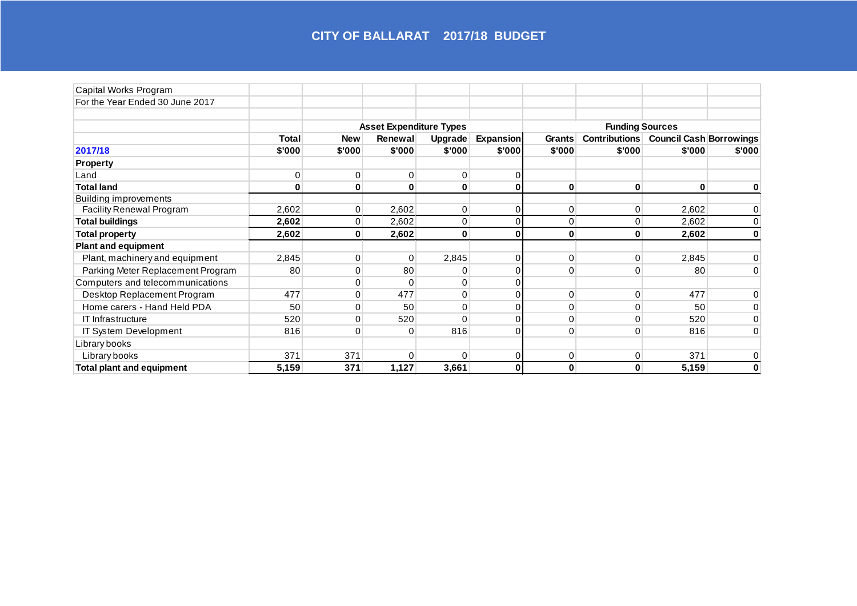| Capital Works Program             |        |                |                                |             |           |              |                        |                                |        |
|-----------------------------------|--------|----------------|--------------------------------|-------------|-----------|--------------|------------------------|--------------------------------|--------|
| For the Year Ended 30 June 2017   |        |                |                                |             |           |              |                        |                                |        |
|                                   |        |                | <b>Asset Expenditure Types</b> |             |           |              | <b>Funding Sources</b> |                                |        |
|                                   | Total  | <b>New</b>     | Renewal                        | Upgrade     | Expansion | Grants       | <b>Contributions</b>   | <b>Council Cash Borrowings</b> |        |
| 2017/18                           | \$'000 | \$'000         | \$'000                         | \$'000      | \$'000    | \$'000       | \$'000                 | \$'000                         | \$'000 |
| <b>Property</b>                   |        |                |                                |             |           |              |                        |                                |        |
| Land                              | 0      | 0              | $\Omega$                       | 0           |           |              |                        |                                |        |
| <b>Total land</b>                 | 0      | $\bf{0}$       | $\bf{0}$                       | $\pmb{0}$   | 0         | 0            | $\bf{0}$               | 0                              | 0      |
| <b>Building improvements</b>      |        |                |                                |             |           |              |                        |                                |        |
| Facility Renewal Program          | 2,602  | 0              | 2,602                          | 0           | 0         | 0            | $\mathbf{0}$           | 2,602                          |        |
| <b>Total buildings</b>            | 2,602  | $\overline{0}$ | 2,602                          | $\mathbf 0$ |           | $\mathbf{0}$ | 0                      | 2,602                          | 0      |
| <b>Total property</b>             | 2,602  | $\mathbf{0}$   | 2,602                          | $\mathbf 0$ | 0         | $\mathbf{0}$ | 0                      | 2,602                          | 0      |
| <b>Plant and equipment</b>        |        |                |                                |             |           |              |                        |                                |        |
| Plant, machinery and equipment    | 2,845  | 0              | $\Omega$                       | 2,845       | $\Omega$  | 0            | 0                      | 2,845                          | 0      |
| Parking Meter Replacement Program | 80     | 0              | 80                             | 0           |           | 0            | 0                      | 80                             | 0      |
| Computers and telecommunications  |        | 0              | $\Omega$                       | 0           |           |              |                        |                                |        |
| Desktop Replacement Program       | 477    | $\mathbf{0}$   | 477                            | 0           | $\Omega$  | 0            | $\Omega$               | 477                            | 0      |
| Home carers - Hand Held PDA       | 50     | 0              | 50                             | 0           |           | 0            |                        | 50                             | 0      |
| <b>IT Infrastructure</b>          | 520    | 0              | 520                            | $\Omega$    | $\Omega$  | 0            | O                      | 520                            | 0      |
| IT System Development             | 816    | 0              | 0                              | 816         | 0         | 0            | 0                      | 816                            | 0      |
| Library books                     |        |                |                                |             |           |              |                        |                                |        |
| Library books                     | 371    | 371            | $\Omega$                       | $\Omega$    | 0         | 0            | 0                      | 371                            |        |
| <b>Total plant and equipment</b>  | 5,159  | 371            | 1,127                          | 3,661       | $\bf{0}$  | $\mathbf{0}$ | $\bf{0}$               | 5,159                          | 0      |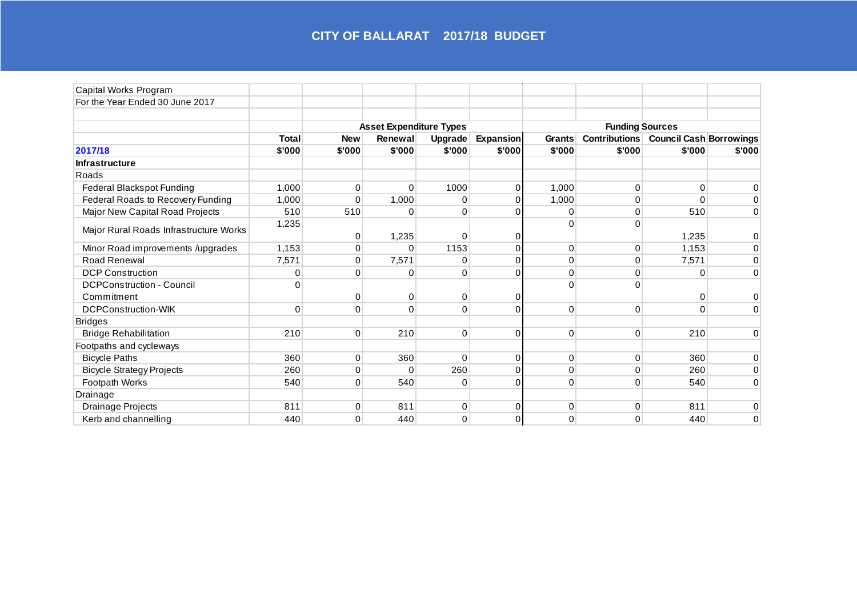| Capital Works Program                  |              |              |                                |             |                  |          |                                                                                  |          |              |
|----------------------------------------|--------------|--------------|--------------------------------|-------------|------------------|----------|----------------------------------------------------------------------------------|----------|--------------|
| For the Year Ended 30 June 2017        |              |              |                                |             |                  |          |                                                                                  |          |              |
|                                        |              |              | <b>Asset Expenditure Types</b> |             |                  |          |                                                                                  |          |              |
|                                        | <b>Total</b> | <b>New</b>   | Renewal                        | Upgrade     | <b>Expansion</b> | Grants   | <b>Funding Sources</b><br><b>Contributions</b><br><b>Council Cash Borrowings</b> |          |              |
| 2017/18                                | \$'000       | \$'000       | \$'000                         | \$'000      | \$'000           | \$'000   | \$'000                                                                           | \$'000   | \$'000       |
| <b>Infrastructure</b>                  |              |              |                                |             |                  |          |                                                                                  |          |              |
| Roads                                  |              |              |                                |             |                  |          |                                                                                  |          |              |
| Federal Blackspot Funding              | 1,000        | $\Omega$     | $\Omega$                       | 1000        | $\Omega$         | 1,000    | $\Omega$                                                                         | $\Omega$ | 0            |
| Federal Roads to Recovery Funding      | 1,000        | $\Omega$     | 1,000                          | $\mathbf 0$ | 0                | 1,000    | 0                                                                                | $\Omega$ | 0            |
| Major New Capital Road Projects        | 510          | 510          | 0                              | $\mathbf 0$ | $\Omega$         | 0        | 0                                                                                | 510      | 0            |
|                                        | 1,235        |              |                                |             |                  | $\Omega$ | $\Omega$                                                                         |          |              |
| Major Rural Roads Infrastructure Works |              | 0            | 1,235                          | $\mathbf 0$ | 0                |          |                                                                                  | 1,235    | 0            |
| Minor Road improvements /upgrades      | 1,153        | $\Omega$     | 0                              | 1153        | $\Omega$         | 0        | $\mathbf 0$                                                                      | 1,153    | 0            |
| Road Renewal                           | 7,571        | $\mathbf{0}$ | 7,571                          | 0           | $\Omega$         | 0        | $\mathbf 0$                                                                      | 7,571    | 0            |
| <b>DCP Construction</b>                | 0            | 0            | 0                              | $\mathbf 0$ | $\Omega$         | 0        | 0                                                                                | $\Omega$ | 0            |
| <b>DCPConstruction - Council</b>       | $\Omega$     |              |                                |             |                  | $\Omega$ | O                                                                                |          |              |
| Commitment                             |              | 0            | 0                              | $\mathbf 0$ | 0                |          |                                                                                  | 0        | 0            |
| <b>DCPConstruction-WIK</b>             | $\Omega$     | $\Omega$     | $\mathbf{0}$                   | $\Omega$    | $\Omega$         | $\Omega$ | $\Omega$                                                                         | $\Omega$ | 0            |
| <b>Bridges</b>                         |              |              |                                |             |                  |          |                                                                                  |          |              |
| <b>Bridge Rehabilitation</b>           | 210          | $\Omega$     | 210                            | $\mathbf 0$ | $\Omega$         | 0        | $\Omega$                                                                         | 210      | 0            |
| Footpaths and cycleways                |              |              |                                |             |                  |          |                                                                                  |          |              |
| <b>Bicycle Paths</b>                   | 360          | $\Omega$     | 360                            | $\Omega$    | $\Omega$         | 0        | $\mathbf 0$                                                                      | 360      | 0            |
| <b>Bicycle Strategy Projects</b>       | 260          | $\Omega$     | $\Omega$                       | 260         | $\Omega$         | 0        | 0                                                                                | 260      | 0            |
| Footpath Works                         | 540          | 0            | 540                            | $\mathbf 0$ | $\Omega$         | 0        | 0                                                                                | 540      | 0            |
| Drainage                               |              |              |                                |             |                  |          |                                                                                  |          |              |
| Drainage Projects                      | 811          | $\mathbf{0}$ | 811                            | $\mathbf 0$ | 0                | 0        | 0                                                                                | 811      | 0            |
| Kerb and channelling                   | 440          | $\Omega$     | 440                            | 0           | $\Omega$         | 0        | $\Omega$                                                                         | 440      | $\mathbf{0}$ |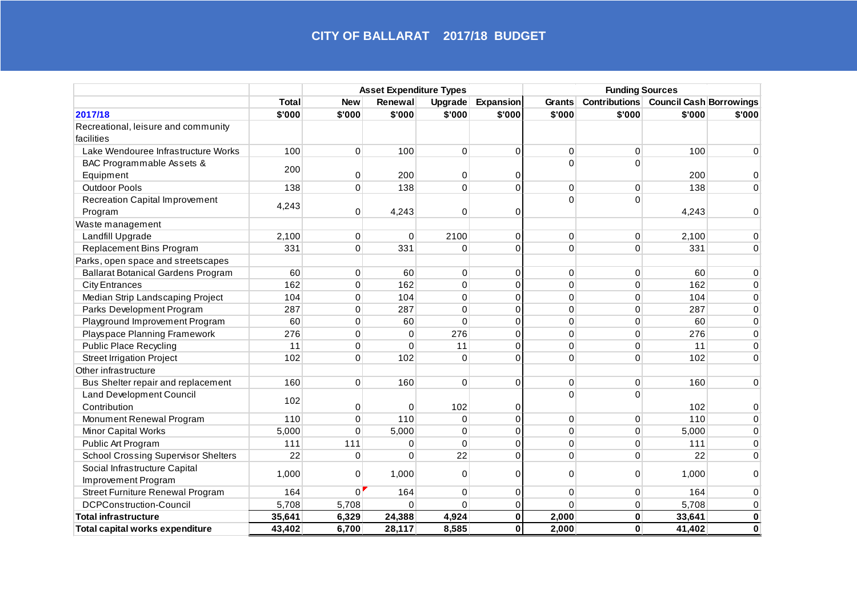|                                            |              | <b>Asset Expenditure Types</b> |             |             |                  | <b>Funding Sources</b> |                      |                                |             |
|--------------------------------------------|--------------|--------------------------------|-------------|-------------|------------------|------------------------|----------------------|--------------------------------|-------------|
|                                            | <b>Total</b> | <b>New</b>                     | Renewal     | Upgrade     | <b>Expansion</b> | Grants                 | <b>Contributions</b> | <b>Council Cash Borrowings</b> |             |
| 2017/18                                    | \$'000       | \$'000                         | \$'000      | \$'000      | \$'000           | \$'000                 | \$'000               | \$'000                         | \$'000      |
| Recreational, leisure and community        |              |                                |             |             |                  |                        |                      |                                |             |
| facilities                                 |              |                                |             |             |                  |                        |                      |                                |             |
| Lake Wendouree Infrastructure Works        | 100          | $\Omega$                       | 100         | 0           | $\mathbf 0$      | $\mathbf 0$            | $\Omega$             | 100                            | 0           |
| BAC Programmable Assets &                  | 200          | $\Omega$                       | 200         | 0           | 0                | $\Omega$               | $\Omega$             |                                |             |
| Equipment                                  |              |                                |             |             |                  |                        |                      | 200                            | $\Omega$    |
| <b>Outdoor Pools</b>                       | 138          | $\Omega$                       | 138         | $\mathbf 0$ | $\Omega$         | $\Omega$               | $\Omega$             | 138                            | $\Omega$    |
| <b>Recreation Capital Improvement</b>      | 4,243        | $\Omega$                       |             | $\mathbf 0$ | $\Omega$         | $\Omega$               | $\Omega$             | 4,243                          | $\Omega$    |
| Program                                    |              |                                | 4,243       |             |                  |                        |                      |                                |             |
| Waste management                           |              |                                |             |             |                  |                        |                      |                                |             |
| Landfill Upgrade                           | 2,100        | $\mathbf 0$                    | $\mathbf 0$ | 2100        | $\pmb{0}$        | $\mathbf 0$            | $\mathbf 0$          | 2,100                          | $\Omega$    |
| Replacement Bins Program                   | 331          | $\Omega$                       | 331         | $\Omega$    | $\Omega$         | $\Omega$               | $\Omega$             | 331                            | $\Omega$    |
| Parks, open space and streetscapes         |              |                                |             |             |                  |                        |                      |                                |             |
| <b>Ballarat Botanical Gardens Program</b>  | 60           | $\mathbf 0$                    | 60          | 0           | $\mathbf 0$      | $\mathbf 0$            | $\mathbf 0$          | 60                             | 0           |
| <b>City Entrances</b>                      | 162          | 0                              | 162         | 0           | $\mathbf 0$      | 0                      | $\mathbf 0$          | 162                            | 0           |
| Median Strip Landscaping Project           | 104          | $\Omega$                       | 104         | $\mathbf 0$ | $\Omega$         | $\Omega$               | $\Omega$             | 104                            | $\mathbf 0$ |
| Parks Development Program                  | 287          | $\Omega$                       | 287         | $\mathbf 0$ | $\Omega$         | $\mathbf 0$            | $\Omega$             | 287                            | 0           |
| Playground Improvement Program             | 60           | $\mathbf 0$                    | 60          | $\mathbf 0$ | $\Omega$         | $\mathbf 0$            | $\Omega$             | 60                             | 0           |
| Playspace Planning Framework               | 276          | $\Omega$                       | $\Omega$    | 276         | $\Omega$         | $\Omega$               | $\Omega$             | 276                            | $\mathbf 0$ |
| <b>Public Place Recycling</b>              | 11           | $\Omega$                       | $\Omega$    | 11          | $\Omega$         | $\mathbf 0$            | $\Omega$             | 11                             | $\mathbf 0$ |
| <b>Street Irrigation Project</b>           | 102          | $\Omega$                       | 102         | $\mathbf 0$ | $\Omega$         | $\mathbf 0$            | $\Omega$             | 102                            | 0           |
| Other infrastructure                       |              |                                |             |             |                  |                        |                      |                                |             |
| Bus Shelter repair and replacement         | 160          | $\Omega$                       | 160         | $\mathbf 0$ | $\Omega$         | $\mathbf 0$            | $\Omega$             | 160                            | $\mathbf 0$ |
| <b>Land Development Council</b>            | 102          |                                |             | 102         | $\mathbf 0$      | 0                      | $\Omega$             |                                |             |
| Contribution                               |              | 0                              | $\Omega$    |             |                  |                        |                      | 102                            | 0           |
| Monument Renewal Program                   | 110          | $\Omega$                       | 110         | $\mathbf 0$ | $\mathbf 0$      | $\mathbf 0$            | $\Omega$             | 110                            | $\Omega$    |
| Minor Capital Works                        | 5,000        | $\Omega$                       | 5,000       | 0           | $\Omega$         | $\mathbf 0$            | $\Omega$             | 5,000                          | $\mathbf 0$ |
| Public Art Program                         | 111          | 111                            | 0           | $\mathbf 0$ | $\Omega$         | $\mathbf 0$            | $\mathbf 0$          | 111                            | 0           |
| <b>School Crossing Supervisor Shelters</b> | 22           | $\Omega$                       | $\Omega$    | 22          | $\Omega$         | $\Omega$               | $\Omega$             | 22                             | $\Omega$    |
| Social Infrastructure Capital              | 1,000        | 0                              | 1,000       | $\mathbf 0$ | $\Omega$         | 0                      | 0                    | 1,000                          | $\Omega$    |
| Improvement Program                        |              |                                |             |             |                  |                        |                      |                                |             |
| <b>Street Furniture Renewal Program</b>    | 164          | $\Omega$                       | 164         | 0           | $\Omega$         | $\Omega$               | $\Omega$             | 164                            | $\Omega$    |
| <b>DCPConstruction-Council</b>             | 5,708        | 5,708                          | $\Omega$    | $\Omega$    | $\Omega$         | $\Omega$               | $\Omega$             | 5,708                          | $\Omega$    |
| <b>Total infrastructure</b>                | 35,641       | 6,329                          | 24,388      | 4,924       | $\mathbf{0}$     | 2,000                  | $\mathbf{0}$         | 33,641                         | $\mathbf 0$ |
| Total capital works expenditure            | 43,402       | 6,700                          | 28,117      | 8,585       | $\mathbf{0}$     | 2,000                  | $\mathbf{0}$         | 41,402                         | $\mathbf 0$ |